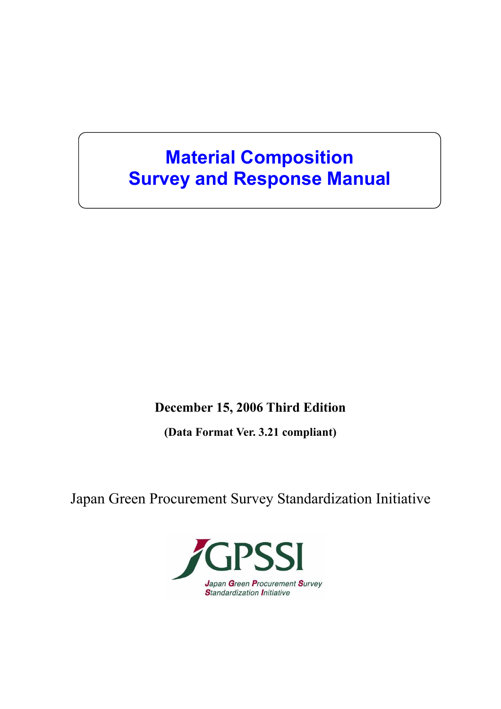# **Material Composition Survey and Response Manual**

## **December 15, 2006 Third Edition**

**(Data Format Ver. 3.21 compliant)** 

Japan Green Procurement Survey Standardization Initiative

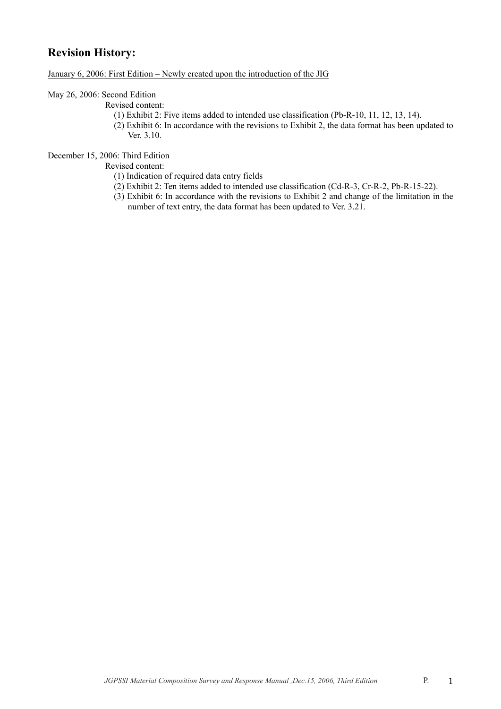## **Revision History:**

January 6, 2006: First Edition – Newly created upon the introduction of the JIG

### May 26, 2006: Second Edition

Revised content:

- (1) Exhibit 2: Five items added to intended use classification (Pb-R-10, 11, 12, 13, 14).
- (2) Exhibit 6: In accordance with the revisions to Exhibit 2, the data format has been updated to Ver. 3.10.

## December 15, 2006: Third Edition

Revised content:

- (1) Indication of required data entry fields
- (2) Exhibit 2: Ten items added to intended use classification (Cd-R-3, Cr-R-2, Pb-R-15-22).
- (3) Exhibit 6: In accordance with the revisions to Exhibit 2 and change of the limitation in the number of text entry, the data format has been updated to Ver. 3.21.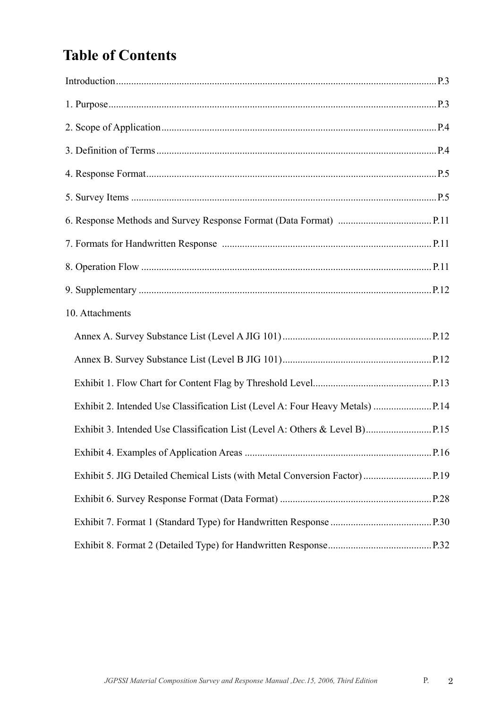# **Table of Contents**

| 10. Attachments |  |
|-----------------|--|
|                 |  |
|                 |  |
|                 |  |
|                 |  |
|                 |  |
|                 |  |
|                 |  |
|                 |  |
|                 |  |
|                 |  |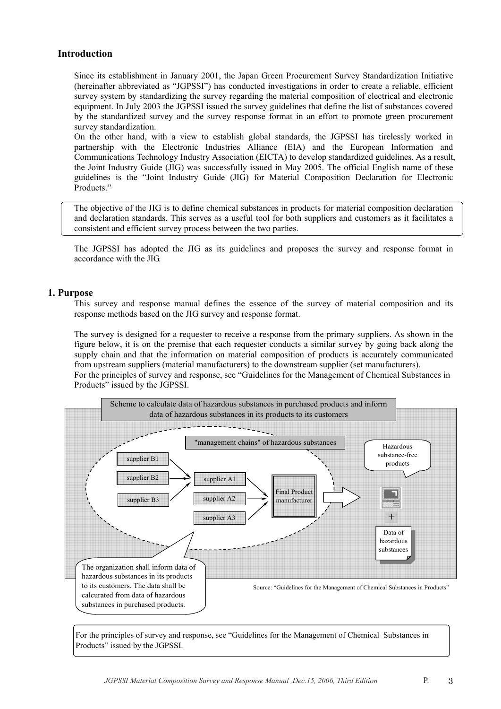## **Introduction**

Since its establishment in January 2001, the Japan Green Procurement Survey Standardization Initiative (hereinafter abbreviated as "JGPSSI") has conducted investigations in order to create a reliable, efficient survey system by standardizing the survey regarding the material composition of electrical and electronic equipment. In July 2003 the JGPSSI issued the survey guidelines that define the list of substances covered by the standardized survey and the survey response format in an effort to promote green procurement survey standardization.

On the other hand, with a view to establish global standards, the JGPSSI has tirelessly worked in partnership with the Electronic Industries Alliance (EIA) and the European Information and Communications Technology Industry Association (EICTA) to develop standardized guidelines. As a result, the Joint Industry Guide (JIG) was successfully issued in May 2005. The official English name of these guidelines is the "Joint Industry Guide (JIG) for Material Composition Declaration for Electronic Products."

The objective of the JIG is to define chemical substances in products for material composition declaration and declaration standards. This serves as a useful tool for both suppliers and customers as it facilitates a consistent and efficient survey process between the two parties.

The JGPSSI has adopted the JIG as its guidelines and proposes the survey and response format in accordance with the JIG.

## **1. Purpose**

This survey and response manual defines the essence of the survey of material composition and its response methods based on the JIG survey and response format.

The survey is designed for a requester to receive a response from the primary suppliers. As shown in the figure below, it is on the premise that each requester conducts a similar survey by going back along the supply chain and that the information on material composition of products is accurately communicated from upstream suppliers (material manufacturers) to the downstream supplier (set manufacturers). For the principles of survey and response, see "Guidelines for the Management of Chemical Substances in Products" issued by the JGPSSI.



For the principles of survey and response, see "Guidelines for the Management of Chemical Substances in Products" issued by the JGPSSI.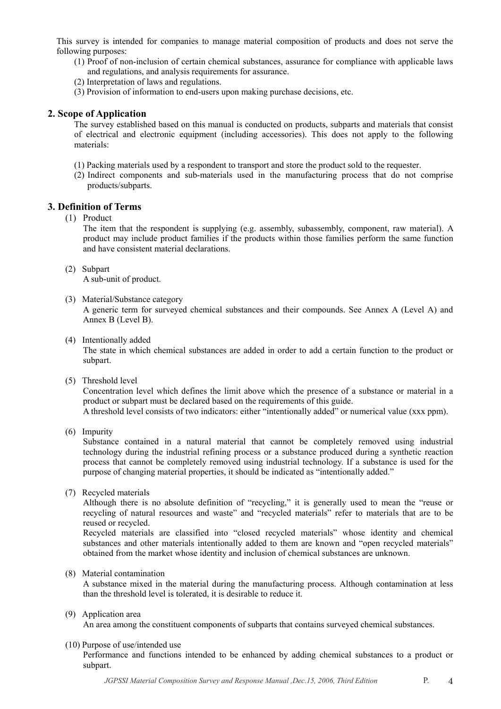This survey is intended for companies to manage material composition of products and does not serve the following purposes:

- (1) Proof of non-inclusion of certain chemical substances, assurance for compliance with applicable laws and regulations, and analysis requirements for assurance.
- (2) Interpretation of laws and regulations.
- (3) Provision of information to end-users upon making purchase decisions, etc.

### **2. Scope of Application**

The survey established based on this manual is conducted on products, subparts and materials that consist of electrical and electronic equipment (including accessories). This does not apply to the following materials:

- (1) Packing materials used by a respondent to transport and store the product sold to the requester.
- (2) Indirect components and sub-materials used in the manufacturing process that do not comprise products/subparts.

## **3. Definition of Terms**

(1) Product

The item that the respondent is supplying (e.g. assembly, subassembly, component, raw material). A product may include product families if the products within those families perform the same function and have consistent material declarations.

(2) Subpart

A sub-unit of product.

(3) Material/Substance category

A generic term for surveyed chemical substances and their compounds. See Annex A (Level A) and Annex B (Level B).

(4) Intentionally added

The state in which chemical substances are added in order to add a certain function to the product or subpart.

(5) Threshold level

Concentration level which defines the limit above which the presence of a substance or material in a product or subpart must be declared based on the requirements of this guide.

A threshold level consists of two indicators: either "intentionally added" or numerical value (xxx ppm).

(6) Impurity

Substance contained in a natural material that cannot be completely removed using industrial technology during the industrial refining process or a substance produced during a synthetic reaction process that cannot be completely removed using industrial technology. If a substance is used for the purpose of changing material properties, it should be indicated as "intentionally added."

(7) Recycled materials

Although there is no absolute definition of "recycling," it is generally used to mean the "reuse or recycling of natural resources and waste" and "recycled materials" refer to materials that are to be reused or recycled.

Recycled materials are classified into "closed recycled materials" whose identity and chemical substances and other materials intentionally added to them are known and "open recycled materials" obtained from the market whose identity and inclusion of chemical substances are unknown.

(8) Material contamination

A substance mixed in the material during the manufacturing process. Although contamination at less than the threshold level is tolerated, it is desirable to reduce it.

(9) Application area

An area among the constituent components of subparts that contains surveyed chemical substances.

#### (10) Purpose of use/intended use

Performance and functions intended to be enhanced by adding chemical substances to a product or subpart.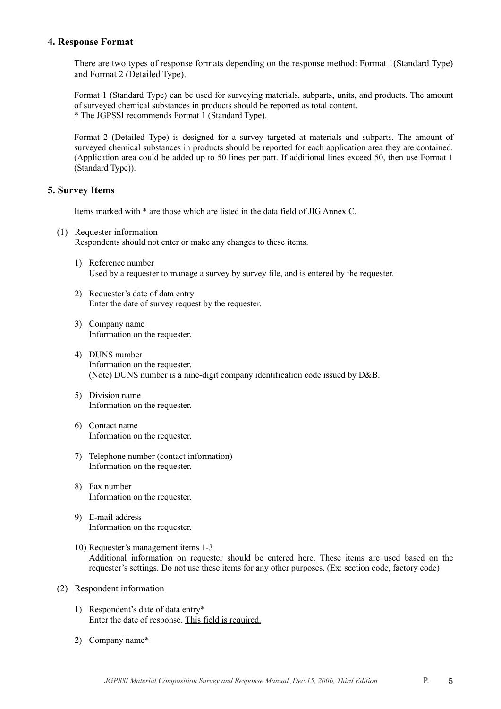### **4. Response Format**

There are two types of response formats depending on the response method: Format 1(Standard Type) and Format 2 (Detailed Type).

Format 1 (Standard Type) can be used for surveying materials, subparts, units, and products. The amount of surveyed chemical substances in products should be reported as total content. \* The JGPSSI recommends Format 1 (Standard Type).

Format 2 (Detailed Type) is designed for a survey targeted at materials and subparts. The amount of surveyed chemical substances in products should be reported for each application area they are contained. (Application area could be added up to 50 lines per part. If additional lines exceed 50, then use Format 1 (Standard Type)).

## **5. Survey Items**

Items marked with \* are those which are listed in the data field of JIG Annex C.

- (1) Requester information Respondents should not enter or make any changes to these items.
	- 1) Reference number Used by a requester to manage a survey by survey file, and is entered by the requester.
	- 2) Requester's date of data entry Enter the date of survey request by the requester.
	- 3) Company name Information on the requester.
	- 4) DUNS number Information on the requester. (Note) DUNS number is a nine-digit company identification code issued by D&B.
	- 5) Division name Information on the requester.
	- 6) Contact name Information on the requester.
	- 7) Telephone number (contact information) Information on the requester.
	- 8) Fax number Information on the requester.
	- 9) E-mail address Information on the requester.
	- 10) Requester's management items 1-3 Additional information on requester should be entered here. These items are used based on the requester's settings. Do not use these items for any other purposes. (Ex: section code, factory code)
- (2) Respondent information
	- 1) Respondent's date of data entry\* Enter the date of response. This field is required.
	- 2) Company name\*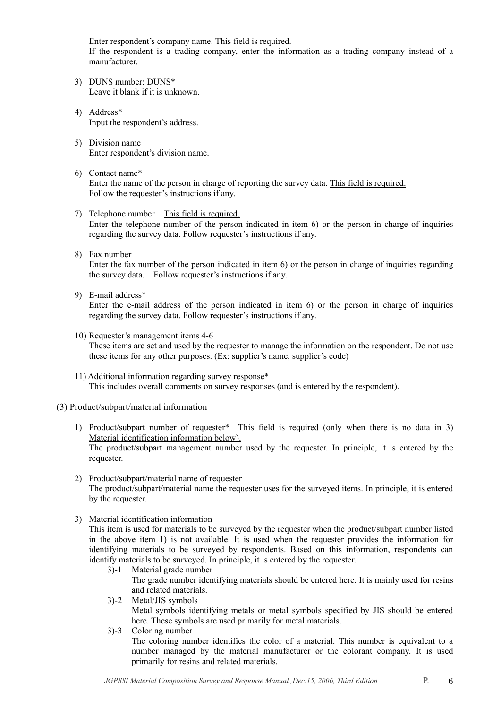Enter respondent's company name. This field is required. If the respondent is a trading company, enter the information as a trading company instead of a

3) DUNS number: DUNS\* Leave it blank if it is unknown.

manufacturer.

- 4) Address\* Input the respondent's address.
- 5) Division name Enter respondent's division name.
- 6) Contact name\* Enter the name of the person in charge of reporting the survey data. This field is required. Follow the requester's instructions if any.
- 7) Telephone number This field is required. Enter the telephone number of the person indicated in item 6) or the person in charge of inquiries regarding the survey data. Follow requester's instructions if any.
- 8) Fax number

Enter the fax number of the person indicated in item 6) or the person in charge of inquiries regarding the survey data. Follow requester's instructions if any.

9) E-mail address\*

Enter the e-mail address of the person indicated in item 6) or the person in charge of inquiries regarding the survey data. Follow requester's instructions if any.

- 10) Requester's management items 4-6 These items are set and used by the requester to manage the information on the respondent. Do not use these items for any other purposes. (Ex: supplier's name, supplier's code)
- 11) Additional information regarding survey response\* This includes overall comments on survey responses (and is entered by the respondent).
- (3) Product/subpart/material information
	- 1) Product/subpart number of requester\* This field is required (only when there is no data in 3) Material identification information below). The product/subpart management number used by the requester. In principle, it is entered by the requester.
	- 2) Product/subpart/material name of requester The product/subpart/material name the requester uses for the surveyed items. In principle, it is entered by the requester.
	- 3) Material identification information

This item is used for materials to be surveyed by the requester when the product/subpart number listed in the above item 1) is not available. It is used when the requester provides the information for identifying materials to be surveyed by respondents. Based on this information, respondents can identify materials to be surveyed. In principle, it is entered by the requester.

- 3)-1 Material grade number The grade number identifying materials should be entered here. It is mainly used for resins and related materials.
- 3)-2 Metal/JIS symbols

Metal symbols identifying metals or metal symbols specified by JIS should be entered here. These symbols are used primarily for metal materials.

 3)-3 Coloring number The coloring number identifies the color of a material. This number is equivalent to a number managed by the material manufacturer or the colorant company. It is used primarily for resins and related materials.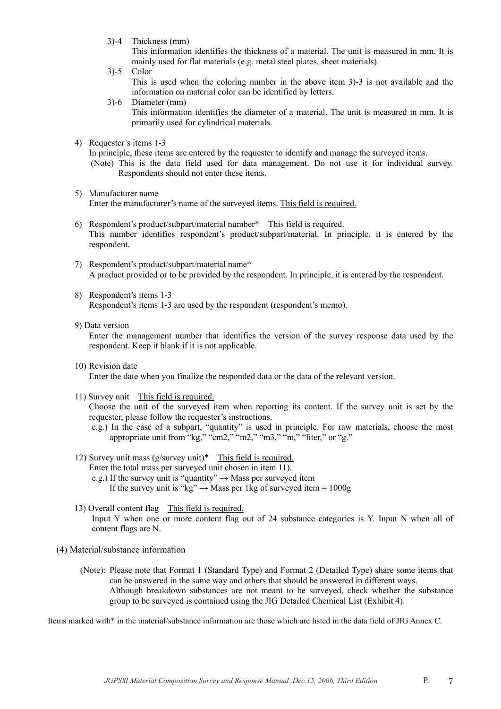3)-4 Thickness (mm)

This information identifies the thickness of a material. The unit is measured in mm. It is mainly used for flat materials (e.g. metal steel plates, sheet materials).

- 3)-5 Color This is used when the coloring number in the above item 3)-3 is not available and the information on material color can be identified by letters.
- 3)-6 Diameter (mm) This information identifies the diameter of a material. The unit is measured in mm. It is primarily used for cylindrical materials.
- 4) Requester's items 1-3

In principle, these items are entered by the requester to identify and manage the surveyed items.

- (Note) This is the data field used for data management. Do not use it for individual survey. Respondents should not enter these items.
- 5) Manufacturer name Enter the manufacturer's name of the surveyed items. This field is required.
- 6) Respondent's product/subpart/material number\* This field is required. This number identifies respondent's product/subpart/material. In principle, it is entered by the respondent.
- 7) Respondent's product/subpart/material name\* A product provided or to be provided by the respondent. In principle, it is entered by the respondent.
- 8) Respondent's items 1-3 Respondent's items 1-3 are used by the respondent (respondent's memo).
- 9) Data version

Enter the management number that identifies the version of the survey response data used by the respondent. Keep it blank if it is not applicable.

10) Revision date

Enter the date when you finalize the responded data or the data of the relevant version.

11) Survey unit This field is required.

Choose the unit of the surveyed item when reporting its content. If the survey unit is set by the requester, please follow the requester's instructions.

- e.g.) In the case of a subpart, "quantity" is used in principle. For raw materials, choose the most appropriate unit from "kg," "cm2," "m2," "m3," "m," "liter," or "g."
- 12) Survey unit mass (g/survey unit)\* This field is required.
	- Enter the total mass per surveyed unit chosen in item 11).
	- e.g.) If the survey unit is "quantity"  $\rightarrow$  Mass per surveyed item
		- If the survey unit is "kg"  $\rightarrow$  Mass per 1kg of surveyed item = 1000g
- 13) Overall content flag This field is required. Input Y when one or more content flag out of 24 substance categories is Y. Input N when all of content flags are N.
- (4) Material/substance information
	- (Note): Please note that Format 1 (Standard Type) and Format 2 (Detailed Type) share some items that can be answered in the same way and others that should be answered in different ways. Although breakdown substances are not meant to be surveyed, check whether the substance group to be surveyed is contained using the JIG Detailed Chemical List (Exhibit 4).

Items marked with\* in the material/substance information are those which are listed in the data field of JIG Annex C.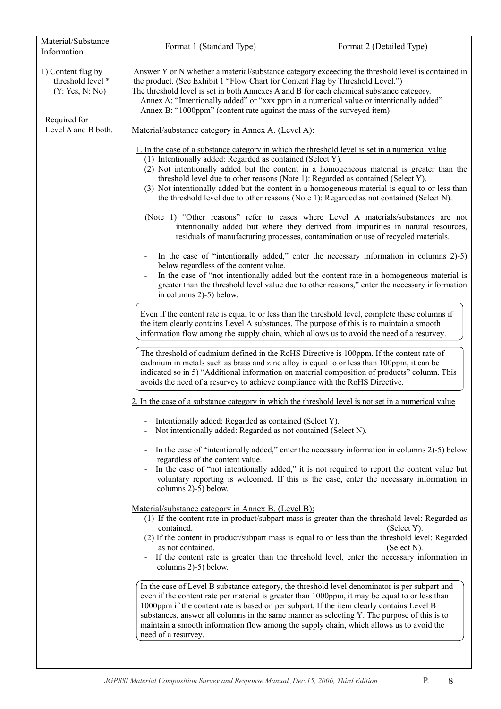| Material/Substance<br>Information                                                                                                                                                                                                                                                                                                                                                                                                                                                                             | Format 1 (Standard Type)<br>Format 2 (Detailed Type)                                                                                                                                                                                                                                                                                                                                                                                                                                                                                                                                                                                                                                                                                                                       |                                                                                                                                                                                                                                                                                          |  |  |  |  |
|---------------------------------------------------------------------------------------------------------------------------------------------------------------------------------------------------------------------------------------------------------------------------------------------------------------------------------------------------------------------------------------------------------------------------------------------------------------------------------------------------------------|----------------------------------------------------------------------------------------------------------------------------------------------------------------------------------------------------------------------------------------------------------------------------------------------------------------------------------------------------------------------------------------------------------------------------------------------------------------------------------------------------------------------------------------------------------------------------------------------------------------------------------------------------------------------------------------------------------------------------------------------------------------------------|------------------------------------------------------------------------------------------------------------------------------------------------------------------------------------------------------------------------------------------------------------------------------------------|--|--|--|--|
| 1) Content flag by<br>threshold level *<br>(Y: Yes, N: No)                                                                                                                                                                                                                                                                                                                                                                                                                                                    | the product. (See Exhibit 1 "Flow Chart for Content Flag by Threshold Level.")<br>The threshold level is set in both Annexes A and B for each chemical substance category.<br>Annex A: "Intentionally added" or "xxx ppm in a numerical value or intentionally added"<br>Annex B: "1000ppm" (content rate against the mass of the surveyed item)                                                                                                                                                                                                                                                                                                                                                                                                                           | Answer Y or N whether a material/substance category exceeding the threshold level is contained in                                                                                                                                                                                        |  |  |  |  |
| Required for<br>Level A and B both.                                                                                                                                                                                                                                                                                                                                                                                                                                                                           | Material/substance category in Annex A. (Level A):                                                                                                                                                                                                                                                                                                                                                                                                                                                                                                                                                                                                                                                                                                                         |                                                                                                                                                                                                                                                                                          |  |  |  |  |
|                                                                                                                                                                                                                                                                                                                                                                                                                                                                                                               | 1. In the case of a substance category in which the threshold level is set in a numerical value<br>(1) Intentionally added: Regarded as contained (Select Y).<br>(2) Not intentionally added but the content in a homogeneous material is greater than the<br>threshold level due to other reasons (Note 1): Regarded as contained (Select Y).<br>(3) Not intentionally added but the content in a homogeneous material is equal to or less than<br>the threshold level due to other reasons (Note 1): Regarded as not contained (Select N).                                                                                                                                                                                                                               |                                                                                                                                                                                                                                                                                          |  |  |  |  |
|                                                                                                                                                                                                                                                                                                                                                                                                                                                                                                               |                                                                                                                                                                                                                                                                                                                                                                                                                                                                                                                                                                                                                                                                                                                                                                            | (Note 1) "Other reasons" refer to cases where Level A materials/substances are not<br>intentionally added but where they derived from impurities in natural resources,<br>residuals of manufacturing processes, contamination or use of recycled materials.                              |  |  |  |  |
|                                                                                                                                                                                                                                                                                                                                                                                                                                                                                                               | below regardless of the content value.                                                                                                                                                                                                                                                                                                                                                                                                                                                                                                                                                                                                                                                                                                                                     | In the case of "intentionally added," enter the necessary information in columns 2)-5)                                                                                                                                                                                                   |  |  |  |  |
|                                                                                                                                                                                                                                                                                                                                                                                                                                                                                                               | in columns 2)-5) below.                                                                                                                                                                                                                                                                                                                                                                                                                                                                                                                                                                                                                                                                                                                                                    | In the case of "not intentionally added but the content rate in a homogeneous material is<br>greater than the threshold level value due to other reasons," enter the necessary information                                                                                               |  |  |  |  |
|                                                                                                                                                                                                                                                                                                                                                                                                                                                                                                               | Even if the content rate is equal to or less than the threshold level, complete these columns if<br>the item clearly contains Level A substances. The purpose of this is to maintain a smooth<br>information flow among the supply chain, which allows us to avoid the need of a resurvey.<br>The threshold of cadmium defined in the RoHS Directive is 100ppm. If the content rate of<br>cadmium in metals such as brass and zinc alloy is equal to or less than 100ppm, it can be<br>indicated so in 5) "Additional information on material composition of products" column. This<br>avoids the need of a resurvey to achieve compliance with the RoHS Directive.<br>2. In the case of a substance category in which the threshold level is not set in a numerical value |                                                                                                                                                                                                                                                                                          |  |  |  |  |
|                                                                                                                                                                                                                                                                                                                                                                                                                                                                                                               |                                                                                                                                                                                                                                                                                                                                                                                                                                                                                                                                                                                                                                                                                                                                                                            |                                                                                                                                                                                                                                                                                          |  |  |  |  |
|                                                                                                                                                                                                                                                                                                                                                                                                                                                                                                               |                                                                                                                                                                                                                                                                                                                                                                                                                                                                                                                                                                                                                                                                                                                                                                            |                                                                                                                                                                                                                                                                                          |  |  |  |  |
|                                                                                                                                                                                                                                                                                                                                                                                                                                                                                                               | Intentionally added: Regarded as contained (Select Y).<br>Not intentionally added: Regarded as not contained (Select N).                                                                                                                                                                                                                                                                                                                                                                                                                                                                                                                                                                                                                                                   |                                                                                                                                                                                                                                                                                          |  |  |  |  |
|                                                                                                                                                                                                                                                                                                                                                                                                                                                                                                               | regardless of the content value.<br>columns 2)-5) below.                                                                                                                                                                                                                                                                                                                                                                                                                                                                                                                                                                                                                                                                                                                   | In the case of "intentionally added," enter the necessary information in columns 2)-5) below<br>In the case of "not intentionally added," it is not required to report the content value but<br>voluntary reporting is welcomed. If this is the case, enter the necessary information in |  |  |  |  |
|                                                                                                                                                                                                                                                                                                                                                                                                                                                                                                               | Material/substance category in Annex B. (Level B):<br>(1) If the content rate in product/subpart mass is greater than the threshold level: Regarded as<br>contained.<br>(Select Y).<br>(2) If the content in product/subpart mass is equal to or less than the threshold level: Regarded<br>as not contained.<br>(Select N).<br>- If the content rate is greater than the threshold level, enter the necessary information in<br>columns 2)-5) below.                                                                                                                                                                                                                                                                                                                      |                                                                                                                                                                                                                                                                                          |  |  |  |  |
| In the case of Level B substance category, the threshold level denominator is per subpart and<br>even if the content rate per material is greater than 1000ppm, it may be equal to or less than<br>1000ppm if the content rate is based on per subpart. If the item clearly contains Level B<br>substances, answer all columns in the same manner as selecting Y. The purpose of this is to<br>maintain a smooth information flow among the supply chain, which allows us to avoid the<br>need of a resurvey. |                                                                                                                                                                                                                                                                                                                                                                                                                                                                                                                                                                                                                                                                                                                                                                            |                                                                                                                                                                                                                                                                                          |  |  |  |  |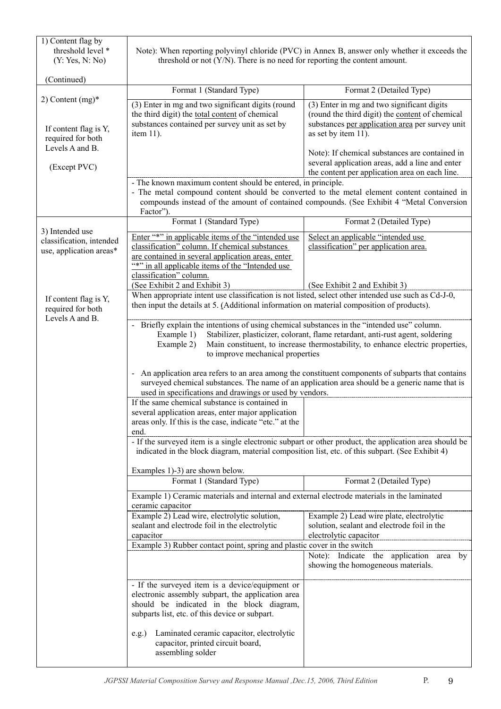| 1) Content flag by<br>threshold level *<br>(Y: Yes, N: No)        | Note): When reporting polyvinyl chloride (PVC) in Annex B, answer only whether it exceeds the<br>threshold or not $(Y/N)$ . There is no need for reporting the content amount.                                                                                                                                                                     |                                                                                                                                                                         |  |  |
|-------------------------------------------------------------------|----------------------------------------------------------------------------------------------------------------------------------------------------------------------------------------------------------------------------------------------------------------------------------------------------------------------------------------------------|-------------------------------------------------------------------------------------------------------------------------------------------------------------------------|--|--|
| (Continued)                                                       |                                                                                                                                                                                                                                                                                                                                                    |                                                                                                                                                                         |  |  |
|                                                                   | Format 1 (Standard Type)                                                                                                                                                                                                                                                                                                                           | Format 2 (Detailed Type)                                                                                                                                                |  |  |
| 2) Content $(mg)^*$<br>If content flag is Y,<br>required for both | (3) Enter in mg and two significant digits (round<br>the third digit) the total content of chemical<br>substances contained per survey unit as set by<br>item $11$ ).                                                                                                                                                                              | (3) Enter in mg and two significant digits<br>(round the third digit) the content of chemical<br>substances per application area per survey unit<br>as set by item 11). |  |  |
| Levels A and B.<br>(Except PVC)                                   |                                                                                                                                                                                                                                                                                                                                                    | Note): If chemical substances are contained in<br>several application areas, add a line and enter<br>the content per application area on each line.                     |  |  |
|                                                                   | - The known maximum content should be entered, in principle.<br>- The metal compound content should be converted to the metal element content contained in<br>Factor").                                                                                                                                                                            | compounds instead of the amount of contained compounds. (See Exhibit 4 "Metal Conversion                                                                                |  |  |
| 3) Intended use                                                   | Format 1 (Standard Type)                                                                                                                                                                                                                                                                                                                           | Format 2 (Detailed Type)                                                                                                                                                |  |  |
| classification, intended<br>use, application areas*               | Enter "*" in applicable items of the "intended use<br>classification" column. If chemical substances<br>are contained in several application areas, enter<br>"*" in all applicable items of the "Intended use<br>classification" column.<br>(See Exhibit 2 and Exhibit 3)                                                                          | Select an applicable "intended use<br>classification" per application area.                                                                                             |  |  |
|                                                                   | When appropriate intent use classification is not listed, select other intended use such as Cd-J-0,                                                                                                                                                                                                                                                | (See Exhibit 2 and Exhibit 3)                                                                                                                                           |  |  |
| If content flag is Y,<br>required for both                        | then input the details at 5. (Additional information on material composition of products).                                                                                                                                                                                                                                                         |                                                                                                                                                                         |  |  |
|                                                                   | Levels A and B.<br>- Briefly explain the intentions of using chemical substances in the "intended use" column.<br>Stabilizer, plasticizer, colorant, flame retardant, anti-rust agent, soldering<br>Example 1)<br>Main constituent, to increase thermostability, to enhance electric properties,<br>Example 2)<br>to improve mechanical properties |                                                                                                                                                                         |  |  |
|                                                                   | - An application area refers to an area among the constituent components of subparts that contains<br>surveyed chemical substances. The name of an application area should be a generic name that is<br>used in specifications and drawings or used by vendors.                                                                                    |                                                                                                                                                                         |  |  |
|                                                                   | If the same chemical substance is contained in<br>several application areas, enter major application<br>areas only. If this is the case, indicate "etc." at the<br>end.                                                                                                                                                                            |                                                                                                                                                                         |  |  |
|                                                                   | - If the surveyed item is a single electronic subpart or other product, the application area should be<br>indicated in the block diagram, material composition list, etc. of this subpart. (See Exhibit 4)                                                                                                                                         |                                                                                                                                                                         |  |  |
|                                                                   | Examples 1)-3) are shown below.<br>Format 1 (Standard Type)                                                                                                                                                                                                                                                                                        | Format 2 (Detailed Type)                                                                                                                                                |  |  |
|                                                                   | Example 1) Ceramic materials and internal and external electrode materials in the laminated                                                                                                                                                                                                                                                        |                                                                                                                                                                         |  |  |
|                                                                   | ceramic capacitor<br>Example 2) Lead wire, electrolytic solution,                                                                                                                                                                                                                                                                                  | Example 2) Lead wire plate, electrolytic                                                                                                                                |  |  |
|                                                                   | sealant and electrode foil in the electrolytic<br>capacitor                                                                                                                                                                                                                                                                                        | solution, sealant and electrode foil in the<br>electrolytic capacitor                                                                                                   |  |  |
|                                                                   | Example 3) Rubber contact point, spring and plastic cover in the switch                                                                                                                                                                                                                                                                            |                                                                                                                                                                         |  |  |
|                                                                   |                                                                                                                                                                                                                                                                                                                                                    | Note): Indicate the application area<br>by<br>showing the homogeneous materials.                                                                                        |  |  |
|                                                                   | - If the surveyed item is a device/equipment or<br>electronic assembly subpart, the application area<br>should be indicated in the block diagram,<br>subparts list, etc. of this device or subpart.                                                                                                                                                |                                                                                                                                                                         |  |  |
|                                                                   | Laminated ceramic capacitor, electrolytic<br>$e.g.$ )<br>capacitor, printed circuit board,<br>assembling solder                                                                                                                                                                                                                                    |                                                                                                                                                                         |  |  |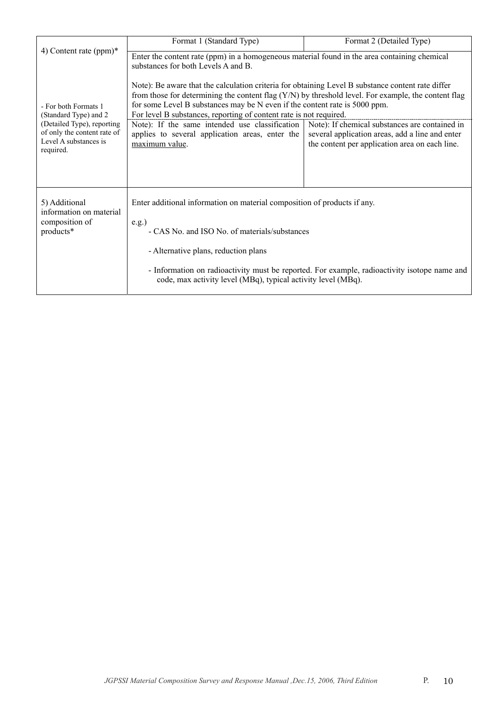|                                                                                                 | Format 1 (Standard Type)                                                                                                                                                                                                                                | Format 2 (Detailed Type)                                                                                                                            |  |  |  |
|-------------------------------------------------------------------------------------------------|---------------------------------------------------------------------------------------------------------------------------------------------------------------------------------------------------------------------------------------------------------|-----------------------------------------------------------------------------------------------------------------------------------------------------|--|--|--|
| 4) Content rate $(ppm)*$                                                                        | Enter the content rate (ppm) in a homogeneous material found in the area containing chemical<br>substances for both Levels A and B.<br>Note): Be aware that the calculation criteria for obtaining Level B substance content rate differ                |                                                                                                                                                     |  |  |  |
| - For both Formats 1<br>(Standard Type) and 2                                                   | from those for determining the content flag (Y/N) by threshold level. For example, the content flag<br>for some Level B substances may be N even if the content rate is 5000 ppm.<br>For level B substances, reporting of content rate is not required. |                                                                                                                                                     |  |  |  |
| (Detailed Type), reporting<br>of only the content rate of<br>Level A substances is<br>required. | Note): If the same intended use classification<br>applies to several application areas, enter the<br>maximum value.                                                                                                                                     | Note): If chemical substances are contained in<br>several application areas, add a line and enter<br>the content per application area on each line. |  |  |  |
| 5) Additional<br>information on material                                                        | Enter additional information on material composition of products if any.                                                                                                                                                                                |                                                                                                                                                     |  |  |  |
| composition of<br>products*                                                                     | e.g.<br>- CAS No. and ISO No. of materials/substances                                                                                                                                                                                                   |                                                                                                                                                     |  |  |  |
|                                                                                                 | - Alternative plans, reduction plans                                                                                                                                                                                                                    |                                                                                                                                                     |  |  |  |
|                                                                                                 | - Information on radioactivity must be reported. For example, radioactivity isotope name and<br>code, max activity level (MBq), typical activity level (MBq).                                                                                           |                                                                                                                                                     |  |  |  |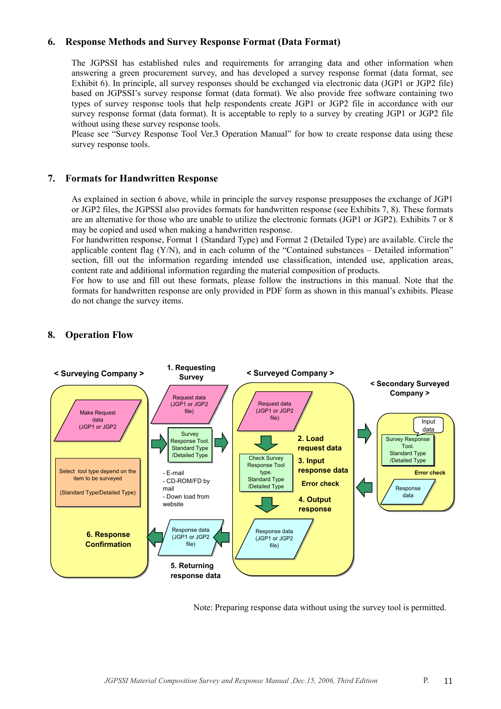## **6. Response Methods and Survey Response Format (Data Format)**

The JGPSSI has established rules and requirements for arranging data and other information when answering a green procurement survey, and has developed a survey response format (data format, see Exhibit 6). In principle, all survey responses should be exchanged via electronic data (JGP1 or JGP2 file) based on JGPSSI's survey response format (data format). We also provide free software containing two types of survey response tools that help respondents create JGP1 or JGP2 file in accordance with our survey response format (data format). It is acceptable to reply to a survey by creating JGP1 or JGP2 file without using these survey response tools.

Please see "Survey Response Tool Ver.3 Operation Manual" for how to create response data using these survey response tools.

### **7. Formats for Handwritten Response**

As explained in section 6 above, while in principle the survey response presupposes the exchange of JGP1 or JGP2 files, the JGPSSI also provides formats for handwritten response (see Exhibits 7, 8). These formats are an alternative for those who are unable to utilize the electronic formats (JGP1 or JGP2). Exhibits 7 or 8 may be copied and used when making a handwritten response.

For handwritten response, Format 1 (Standard Type) and Format 2 (Detailed Type) are available. Circle the applicable content flag (Y/N), and in each column of the "Contained substances – Detailed information" section, fill out the information regarding intended use classification, intended use, application areas, content rate and additional information regarding the material composition of products.

For how to use and fill out these formats, please follow the instructions in this manual. Note that the formats for handwritten response are only provided in PDF form as shown in this manual's exhibits. Please do not change the survey items.



## **8. Operation Flow**

Note: Preparing response data without using the survey tool is permitted.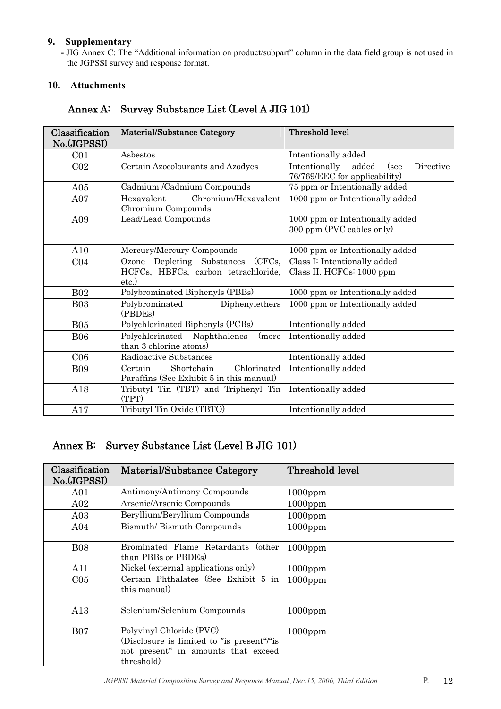## **9. Supplementary**

**-** JIG Annex C: The "Additional information on product/subpart" column in the data field group is not used in the JGPSSI survey and response format.

## **10. Attachments**

| Classification<br>No.(JGPSSI) | Material/Substance Category                                                             | Threshold level                                                              |  |  |
|-------------------------------|-----------------------------------------------------------------------------------------|------------------------------------------------------------------------------|--|--|
| C <sub>01</sub>               | Asbestos                                                                                | Intentionally added                                                          |  |  |
| CO <sub>2</sub>               | Certain Azocolourants and Azodyes                                                       | Intentionally<br>Directive<br>added<br>(see<br>76/769/EEC for applicability) |  |  |
| A05                           | Cadmium /Cadmium Compounds                                                              | 75 ppm or Intentionally added                                                |  |  |
| A07                           | Chromium/Hexavalent<br>Hexavalent<br>Chromium Compounds                                 | 1000 ppm or Intentionally added                                              |  |  |
| A09                           | Lead/Lead Compounds                                                                     | 1000 ppm or Intentionally added<br>300 ppm (PVC cables only)                 |  |  |
| A10                           | Mercury/Mercury Compounds                                                               | 1000 ppm or Intentionally added                                              |  |  |
| CO <sub>4</sub>               | (CFCs,<br>Ozone Depleting Substances<br>HCFCs, HBFCs, carbon tetrachloride,<br>$etc.$ ) | Class I: Intentionally added<br>Class II. HCFCs: 1000 ppm                    |  |  |
| <b>B02</b>                    | Polybrominated Biphenyls (PBBs)                                                         | 1000 ppm or Intentionally added                                              |  |  |
| <b>B03</b>                    | Polybrominated<br>Diphenylethers<br>(PBDEs)                                             | 1000 ppm or Intentionally added                                              |  |  |
| <b>B05</b>                    | Polychlorinated Biphenyls (PCBs)                                                        | Intentionally added                                                          |  |  |
| <b>B06</b>                    | Polychlorinated Naphthalenes<br>(more<br>than 3 chlorine atoms)                         | Intentionally added                                                          |  |  |
| C <sub>06</sub>               | Radioactive Substances                                                                  | Intentionally added                                                          |  |  |
| <b>B09</b>                    | Chlorinated<br>Certain<br>Shortchain<br>Paraffins (See Exhibit 5 in this manual)        | Intentionally added                                                          |  |  |
| A18                           | Tributyl Tin (TBT) and Triphenyl Tin<br>(TPT)                                           | Intentionally added                                                          |  |  |
| A17                           | Tributyl Tin Oxide (TBTO)                                                               | Intentionally added                                                          |  |  |

## Annex A: Survey Substance List (Level A JIG 101)

## Annex B: Survey Substance List (Level B JIG 101)

| Classification<br>No.(JGPSSI) | <b>Material/Substance Category</b>                                                                                          | Threshold level |
|-------------------------------|-----------------------------------------------------------------------------------------------------------------------------|-----------------|
| A01                           | Antimony/Antimony Compounds                                                                                                 | $1000$ ppm      |
| A02                           | Arsenic/Arsenic Compounds                                                                                                   | $1000$ ppm      |
| A03                           | Beryllium/Beryllium Compounds                                                                                               | $1000$ ppm      |
| A <sub>04</sub>               | Bismuth/Bismuth Compounds                                                                                                   | $1000$ ppm      |
| <b>B08</b>                    | Brominated Flame Retardants (other<br>than PBBs or PBDEs)                                                                   | $1000$ ppm      |
| A11                           | Nickel (external applications only)                                                                                         | $1000$ ppm      |
| C <sub>05</sub>               | Certain Phthalates (See Exhibit 5 in<br>this manual)                                                                        | $1000$ ppm      |
| A13                           | Selenium/Selenium Compounds                                                                                                 | $1000$ ppm      |
| <b>B07</b>                    | Polyvinyl Chloride (PVC)<br>(Disclosure is limited to "is present"/"is<br>not present "in amounts that exceed<br>threshold) | $1000$ ppm      |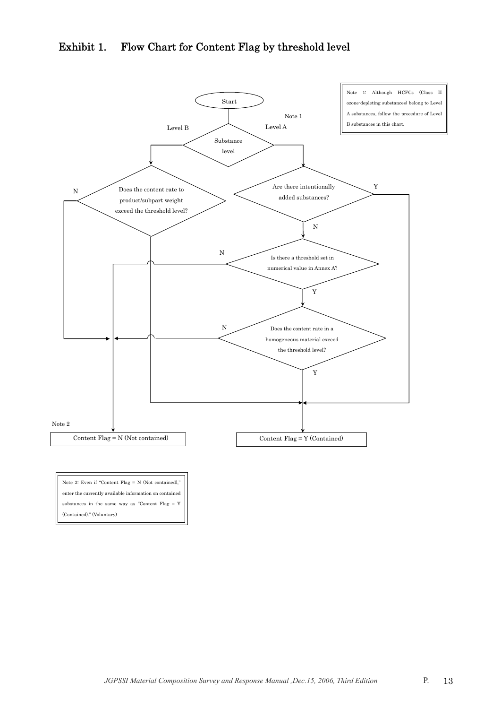## Exhibit 1. Flow Chart for Content Flag by threshold level



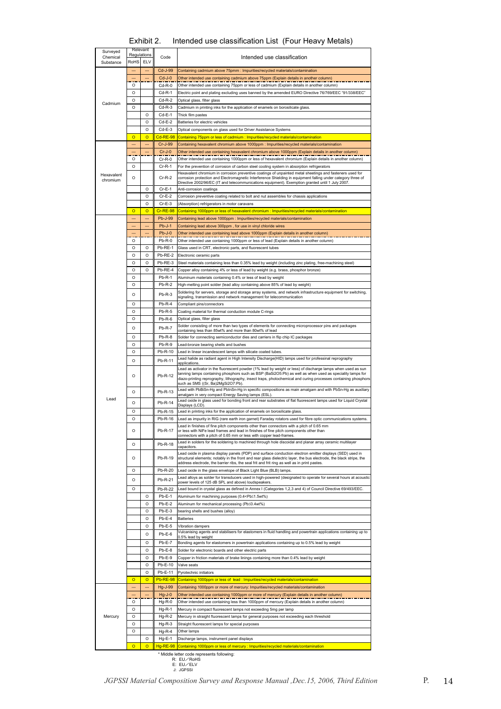| Exhibit 2. | Intended use classification List (Four Heavy Metals) |  |
|------------|------------------------------------------------------|--|
|------------|------------------------------------------------------|--|

| Relevant<br>Surveyed<br>Regulations |                      | Intended use classification |                      |                                                                                                                                                                                                                                                                                                                                                                                 |
|-------------------------------------|----------------------|-----------------------------|----------------------|---------------------------------------------------------------------------------------------------------------------------------------------------------------------------------------------------------------------------------------------------------------------------------------------------------------------------------------------------------------------------------|
| Chemical<br>Substance               | RoHS                 | ELV                         | Code                 |                                                                                                                                                                                                                                                                                                                                                                                 |
|                                     |                      |                             | Cd-J-99              | Containing cadmium above 75pmm : Impurities/recycled materials/contamination                                                                                                                                                                                                                                                                                                    |
|                                     |                      |                             | $Cd-J-0$             | Other intended use containing cadmium above 75ppm (Explain details in another column)                                                                                                                                                                                                                                                                                           |
|                                     | $\Omega$             |                             | $Cd-R-0$             | Other intended use containing 75ppm or less of cadmium (Explain details in another column)                                                                                                                                                                                                                                                                                      |
|                                     | $\Omega$<br>O        |                             | $Cd-R-1$<br>$Cd-R-2$ | Electric point and plating excluding uses banned by the amended EURO Directive 76/769/EEC "91/338/EEC"<br>Optical glass, filter glass                                                                                                                                                                                                                                           |
| Cadmium                             | O                    |                             | $Cd-R-3$             | Cadmium in printing inks for the application of enamels on borosilicate glass.                                                                                                                                                                                                                                                                                                  |
|                                     |                      | O                           | $Cd-E-1$             | Thick film pastes                                                                                                                                                                                                                                                                                                                                                               |
|                                     |                      | $\Omega$                    | $Cd-E-2$             | Batteries for electric vehicles                                                                                                                                                                                                                                                                                                                                                 |
|                                     |                      | $\circ$                     | $Cd-E-3$             | Optical components on glass used for Driver Assistance Systems                                                                                                                                                                                                                                                                                                                  |
|                                     | $\circ$              | $\circ$                     | Cd-RE-98             | Containing 75ppm or less of cadmium : Impurities/recycled materials/contamination                                                                                                                                                                                                                                                                                               |
|                                     | ---                  | ---                         | Cr-J-99<br>$Cr-J-0$  | Containing hexavalent chromium above 1000ppm : Impurities/recycled materials/contamination<br>Other intended use containing hexavalent chromium above 1000ppm (Explain details in another column)                                                                                                                                                                               |
|                                     | O                    |                             | $Cr-R-0$             | Other intended use containing 1000ppm or less of hexavalent chromium (Explain details in another column)                                                                                                                                                                                                                                                                        |
|                                     | O                    |                             | $Cr-R-1$             | For the prevention of corrosion of carbon steel cooling system in absorption refrigerators                                                                                                                                                                                                                                                                                      |
| Hexavalent                          | O                    |                             | $Cr-R-2$             | Hexavalent chromium in corrosion preventive coatings of unpainted metal sheetings and fasteners used for<br>corrosion protection and Electromagnetic Interference Shielding in equipment falling under category three of                                                                                                                                                        |
| chromium                            |                      |                             |                      | Directive 2002/96/EC (IT and telecommunications equipment). Exemption granted until 1 July 2007                                                                                                                                                                                                                                                                                 |
|                                     |                      | O<br>$\Omega$               | Cr-E-1<br>$Cr-E-2$   | Anti-corrosion coatings                                                                                                                                                                                                                                                                                                                                                         |
|                                     |                      | $\Omega$                    | $Cr-E-3$             | Corrosion preventive coating related to bolt and nut assembles for chassis applications<br>(Absorption) refrigerators in motor caravans                                                                                                                                                                                                                                         |
|                                     | $\circ$              | $\Omega$                    | Cr-RE-98             | Containing 1000ppm or less of hexavalent chromium : Impurities/recycled materials/contamination                                                                                                                                                                                                                                                                                 |
|                                     |                      |                             | Pb-J-99              | Containing lead above 1000ppm : Impurities/recycled materials/contamination                                                                                                                                                                                                                                                                                                     |
|                                     |                      | ---                         | $Pb-J-1$             | Containing lead above 300ppm, for use in vinyl chloride wires                                                                                                                                                                                                                                                                                                                   |
|                                     |                      |                             | $Pb-J-0$             | Other intended use containing lead above 1000ppm (Explain details in another column)                                                                                                                                                                                                                                                                                            |
|                                     | $\Omega$<br>$\Omega$ | $\Omega$                    | $Pb-R-0$<br>Pb-RE-1  | Other intended use containing 1000ppm or less of lead (Explain details in another column)                                                                                                                                                                                                                                                                                       |
|                                     | $\Omega$             | O                           | Pb-RE-2              | Glass used in CRT, electronic parts, and fluorescent tubes<br>Electronic ceramic parts                                                                                                                                                                                                                                                                                          |
|                                     | O                    | O                           | Pb-RE-3              | Steel materials containing less than 0.35% lead by weight (including zinc plating, free-machining steel)                                                                                                                                                                                                                                                                        |
|                                     | $\Omega$             | $\Omega$                    | Pb-RE-4              | Copper alloy containing 4% or less of lead by weight (e.g. brass, phosphor bronze)                                                                                                                                                                                                                                                                                              |
|                                     | O                    |                             | $Pb-R-1$             | Aluminum materials containing 0.4% or less of lead by weight                                                                                                                                                                                                                                                                                                                    |
|                                     | $\Omega$             |                             | $Pb-R-2$             | High-melting point solder (lead alloy containing above 85% of lead by weight)                                                                                                                                                                                                                                                                                                   |
|                                     | O                    |                             | $Pb-R-3$             | Soldering for servers, storage and storage array systems, and network infrastructure equipment for switching,<br>signaling, transmission and network management for telecommunication                                                                                                                                                                                           |
|                                     | $\Omega$             |                             | Pb-R-4               | Compliant pins/connectors                                                                                                                                                                                                                                                                                                                                                       |
|                                     | $\Omega$             |                             | $Pb-R-5$             | Coating material for thermal conduction module C-rings                                                                                                                                                                                                                                                                                                                          |
|                                     | $\circ$              |                             | $Pb-R-6$             | Optical glass, filter glass                                                                                                                                                                                                                                                                                                                                                     |
|                                     | O                    |                             | Pb-R-7               | Solder consisting of more than two types of elements for connecting microprocessor pins and packages<br>containing less than 85wt% and more than 80wt% of lead                                                                                                                                                                                                                  |
|                                     | O                    |                             | Pb-R-8               | Solder for connecting semiconductor dies and carriers in flip chip IC packages                                                                                                                                                                                                                                                                                                  |
|                                     | $\Omega$             |                             | $Pb-R-9$             | Lead-bronze bearing shells and bushes                                                                                                                                                                                                                                                                                                                                           |
|                                     | O                    |                             | Pb-R-10              | Lead in linear incandescent lamps with silicate coated tubes.                                                                                                                                                                                                                                                                                                                   |
|                                     | $\circ$              |                             | Pb-R-11              | Lead halide as radiant agent in High Intensity Discharge(HID) lamps used for professinal reprography<br>applications                                                                                                                                                                                                                                                            |
|                                     | O                    |                             | Pb-R-12              | Lead as activator in the fluorescent powder (1% lead by weight or less) of discharge lamps when used as sun<br>tanning lamps containing phosphors such as BSP (BaSi2O5:Pb) as well as when used as speciality lamps for<br>diazo-printing reprography, lithography, insect traps, photochemical and curing processes containing phosphors<br>such as SMS ((Sr, Ba)2MgSi2O7:Pb). |
|                                     | $\Omega$             |                             | Pb-R-13              | Lead with PbBiSn-Hg and PbInSn-Hg in specific compositions as main amalgam and with PbSn-Hg as auxiliary                                                                                                                                                                                                                                                                        |
| Lead                                | O                    |                             | Pb-R-14              | amalgam in very compact Energy Saving lamps (ESL).<br>Lead oxide in glass used for bonding front and rear substrates of flat fluorescent lamps used for Liquid Crystal                                                                                                                                                                                                          |
|                                     | O                    |                             | Pb-R-15              | Displays (I CD)<br>ead in printing inks for the application of enamels on borosilicate glass.                                                                                                                                                                                                                                                                                   |
|                                     | O                    |                             | Pb-R-16              | Lead as impurity in RIG (rare earth iron garnet) Faraday rotators used for fibre optic communications systems.                                                                                                                                                                                                                                                                  |
|                                     | O                    |                             | Pb-R-17              | Lead in finishes of fine pitch components other than connectors with a pitch of 0.65 mm<br>or less with NiFe lead frames and lead in finishes of fine pitch components other than                                                                                                                                                                                               |
|                                     | O                    |                             | Pb-R-18              | connectors with a pitch of 0.65 mm or less with copper lead-frames.<br>Lead in solders for the soldering to machined through hole discoidal and planar array ceramic multilayer<br>capacitors.                                                                                                                                                                                  |
|                                     | O                    |                             | Pb-R-19              | Lead oxide in plasma display panels (PDP) and surface conduction electron emitter displays (SED) used in<br>structural elements; notably in the front and rear glass dielectric layer, the bus electrode, the black stripe, the                                                                                                                                                 |
|                                     | $\Omega$             |                             | Pb-R-20              | address electrode, the barrier ribs, the seal frit and frit ring as well as in print pastes.<br>Lead oxide in the glass envelope of Black Light Blue (BLB) lamps.                                                                                                                                                                                                               |
|                                     | O                    |                             | Pb-R-21              | Lead alloys as solder for transducers used in high-powered (designated to operate for several hours at acoustic                                                                                                                                                                                                                                                                 |
|                                     | O                    |                             | Pb-R-22              | power levels of 125 dB SPL and above) loudspeakers.<br>Lead bound in crystal glass as defined in Annex I (Categories 1,2,3 and 4) of Council Directive 69/493/EEC.                                                                                                                                                                                                              |
|                                     |                      | O                           | $Pb-E-1$             | Aluminum for machining purposes (0.4 <pb≤1.5wt%)< td=""></pb≤1.5wt%)<>                                                                                                                                                                                                                                                                                                          |
|                                     |                      | O                           | $Pb-E-2$             | Aluminum for mechanical processing (Pb≤0.4wt%)                                                                                                                                                                                                                                                                                                                                  |
|                                     |                      | O                           | $Pb-E-3$             | bearing shells and bushes (alloy)                                                                                                                                                                                                                                                                                                                                               |
|                                     |                      | $\Omega$<br>$\Omega$        | $Pb-E-4$             | <b>Batteries</b>                                                                                                                                                                                                                                                                                                                                                                |
|                                     |                      | $\Omega$                    | $Pb-E-5$             | Vibration dampers<br>Vulcanising agents and stabilisers for elastomers in fluid handling and powertrain applications containing up to                                                                                                                                                                                                                                           |
|                                     |                      |                             | $Pb-E-6$             | 0.5% lead by weight                                                                                                                                                                                                                                                                                                                                                             |
|                                     |                      | O<br>O                      | Pb-E-7<br>Pb-E-8     | Bonding agents for elastomers in powertrain applications containing up to 0.5% lead by weight<br>Solder for electronic boards and other electric parts                                                                                                                                                                                                                          |
|                                     |                      | $\Omega$                    | $Pb-E-9$             | Copper in friction materials of brake linings containing more than 0.4% lead by weight                                                                                                                                                                                                                                                                                          |
|                                     |                      | $\Omega$                    | Pb-E-10              | Valve seats                                                                                                                                                                                                                                                                                                                                                                     |
|                                     |                      | $\Omega$                    | Pb-E-11              | Pyrotechnic initiators                                                                                                                                                                                                                                                                                                                                                          |
|                                     | $\circ$              | $\circ$                     | <b>Pb-RE-98</b>      | Containing 1000ppm or less of lead: Impurities/recycled materials/contamination                                                                                                                                                                                                                                                                                                 |
|                                     |                      |                             | Hg-J-99              | Containing 1000ppm or more of mercury: Impurities/recycled materials/contamination                                                                                                                                                                                                                                                                                              |
|                                     | O                    |                             | $Hg-J-0$<br>$Hg-R-0$ | Other intended use containing 1000ppm or more of mercury (Explain details in another column)<br>Other intended use containing less than 1000ppm of mercury (Explain details in another column)                                                                                                                                                                                  |
|                                     | $\Omega$             |                             | $Hg-R-1$             | Mercury in compact fluorescent lamps not exceeding 5mg per lamp                                                                                                                                                                                                                                                                                                                 |
| Mercury                             | $\circ$              |                             | $Hg-R-2$             | Mercury in straight fluorescent lamps for general purposes not exceeding each threshold                                                                                                                                                                                                                                                                                         |
|                                     | O                    |                             | $Hq-R-3$             | Straight fluorescent lamps for special purposes                                                                                                                                                                                                                                                                                                                                 |
|                                     | O                    |                             | $Hg-R-4$             | Other lamps                                                                                                                                                                                                                                                                                                                                                                     |
|                                     |                      | $\Omega$                    | $Hg-E-1$             | Discharge lamps, instrument panel displays                                                                                                                                                                                                                                                                                                                                      |
|                                     | $\circ$              | $\overline{\mathsf{o}}$     | $Hg-RE-98$           | Containing 1000ppm or less of mercury : Impurities/recycled materials/contamination<br>* Middle letter code represents following:                                                                                                                                                                                                                                               |

R: EU∕RoHS<br>E: EU∕ELV<br>J: JGPSSI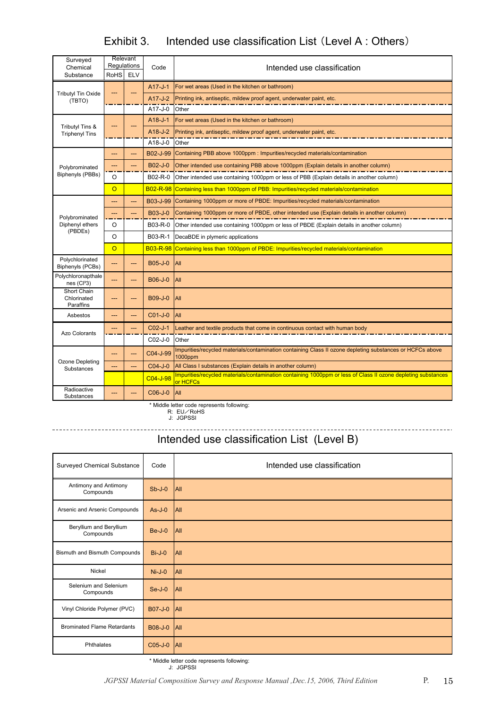## Exhibit 3. Intended use classification List (Level A : Others)

| <b>Relevant</b><br>Surveyed<br>Regulations    |                |            |                 |                                                                                                                           |  |  |
|-----------------------------------------------|----------------|------------|-----------------|---------------------------------------------------------------------------------------------------------------------------|--|--|
| Chemical<br>Substance                         | <b>RoHS</b>    | <b>ELV</b> | Code            | Intended use classification                                                                                               |  |  |
|                                               |                |            | $A17 - J - 1$   | For wet areas (Used in the kitchen or bathroom)                                                                           |  |  |
| <b>Tributyl Tin Oxide</b><br>(TBTO)           |                |            | $A17-J-2$       | Printing ink, antiseptic, mildew proof agent, underwater paint, etc.                                                      |  |  |
|                                               |                |            | A17-J-0         | Other                                                                                                                     |  |  |
|                                               |                |            | A18-J-1         | For wet areas (Used in the kitchen or bathroom)                                                                           |  |  |
| Tributyl Tins &<br><b>Triphenyl Tins</b>      |                |            | $A18-J-2$       | Printing ink, antiseptic, mildew proof agent, underwater paint, etc.                                                      |  |  |
|                                               |                |            | A18-J-0         | Other                                                                                                                     |  |  |
|                                               | ---            | ---        | B02-J-99        | Containing PBB above 1000ppm : Impurities/recycled materials/contamination                                                |  |  |
| Polybrominated                                |                |            | B02-J-0         | Other intended use containing PBB above 1000ppm (Explain details in another column)                                       |  |  |
| Biphenyls (PBBs)                              | O              |            | B02-R-0         | Other intended use containing 1000ppm or less of PBB (Explain details in another column)                                  |  |  |
|                                               | $\overline{O}$ |            | <b>B02-R-98</b> | Containing less than 1000ppm of PBB: Impurities/recycled materials/contamination                                          |  |  |
|                                               | ---            |            | B03-J-99        | Containing 1000ppm or more of PBDE: Impurities/recycled materials/contamination                                           |  |  |
| Polybrominated                                | ---            | ---        | <b>B03-J-0</b>  | Containing 1000ppm or more of PBDE, other intended use (Explain details in another column)                                |  |  |
| Diphenyl ethers                               | O              |            | B03-R-0         | Other intended use containing 1000ppm or less of PBDE (Explain details in another column)                                 |  |  |
| (PBDEs)                                       | O              |            | B03-R-1         | DecaBDE in plymeric applications                                                                                          |  |  |
|                                               | $\overline{O}$ |            | <b>B03-R-98</b> | Containing less than 1000ppm of PBDE: Impurities/recycled materials/contamination                                         |  |  |
| Polychlorinated<br>Biphenyls (PCBs)           | ---            | ---        | <b>B05-J-0</b>  | All                                                                                                                       |  |  |
| Polychloronapthale<br>nes (Cl <sup>3</sup> 3) | ---            | ---        | <b>B06-J-0</b>  | All                                                                                                                       |  |  |
| Short Chain<br>Chlorinated<br>Paraffins       | ---            | ---        | <b>B09-J-0</b>  | All                                                                                                                       |  |  |
| Asbestos                                      | ---            | ---        | C01-J-0         | All                                                                                                                       |  |  |
| <b>Azo Colorants</b>                          | ---            | ---        | $CO2-J-1$       | Leather and textile products that come in continuous contact with human body                                              |  |  |
|                                               |                |            | C02-J-0         | Other                                                                                                                     |  |  |
|                                               | ---            | ---        | C04-J-99        | Impurities/recycled materials/contamination containing Class II ozone depleting substances or HCFCs above<br>1000ppm      |  |  |
| Ozone Depleting<br>Substances                 |                | ---        | $CO4-J-0$       | All Class I substances (Explain details in another column)                                                                |  |  |
|                                               |                |            | C04-J-98        | Impurities/recycled materials/contamination containing 1000ppm or less of Class II ozone depleting substances<br>or HCFCs |  |  |
| Radioactive<br>Substances                     | ---            | ---        | C06-J-0         | All                                                                                                                       |  |  |

\* Middle letter code represents following: R: EU/RoHS J: JGPSSI

## Intended use classification List (Level B)

| Surveyed Chemical Substance          | Code           | Intended use classification |
|--------------------------------------|----------------|-----------------------------|
| Antimony and Antimony<br>Compounds   | $Sb-J-0$       | <b>AII</b>                  |
| Arsenic and Arsenic Compounds        | $As-J-0$       | All                         |
| Beryllium and Beryllium<br>Compounds | $Be-J-0$       | All                         |
| Bismuth and Bismuth Compounds        | $Bi-J-0$       | All                         |
| Nickel                               | $Ni-J-0$       | All                         |
| Selenium and Selenium<br>Compounds   | $Se-J-0$       | All                         |
| Vinyl Chloride Polymer (PVC)         | B07-J-0        | All                         |
| <b>Brominated Flame Retardants</b>   | <b>B08-J-0</b> | All                         |
| Phthalates                           | C05-J-0        | <b>AII</b>                  |

\* Middle letter code represents following: J: JGPSSI

. . . . . . . . . . . . . . . .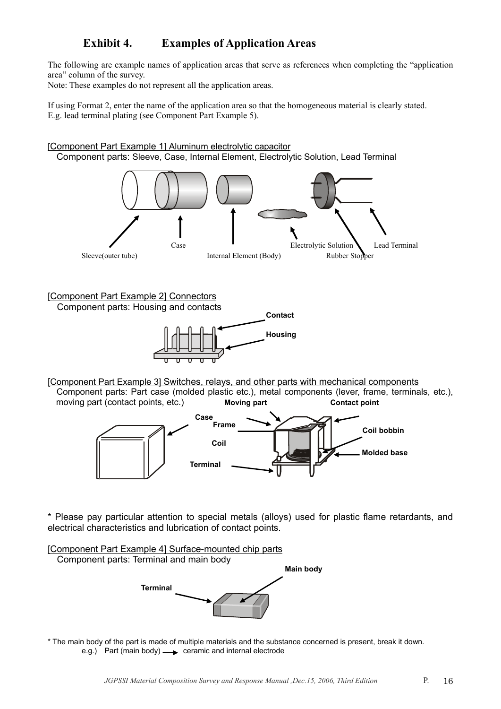## **Exhibit 4. Examples of Application Areas**

The following are example names of application areas that serve as references when completing the "application area" column of the survey.

Note: These examples do not represent all the application areas.

If using Format 2, enter the name of the application area so that the homogeneous material is clearly stated. E.g. lead terminal plating (see Component Part Example 5).



[Component Part Example 4] Surface-mounted chip parts Component parts: Terminal and main body **Terminal Main body** 

\* The main body of the part is made of multiple materials and the substance concerned is present, break it down. e.g.) Part (main body)  $\longrightarrow$  ceramic and internal electrode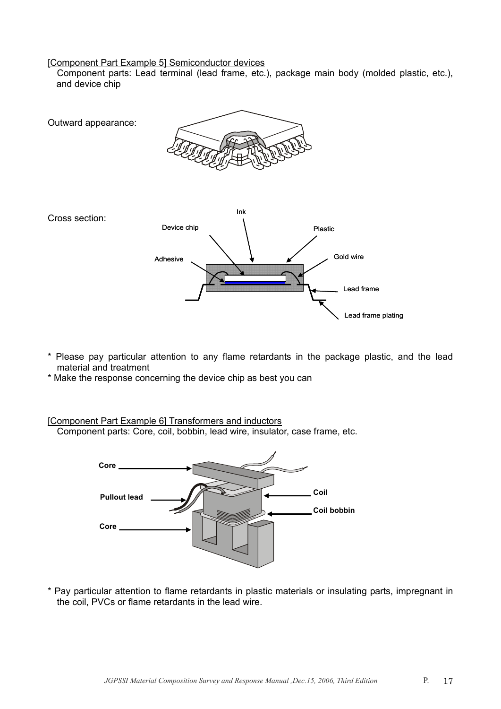## [Component Part Example 5] Semiconductor devices

 Component parts: Lead terminal (lead frame, etc.), package main body (molded plastic, etc.), and device chip



- \* Please pay particular attention to any flame retardants in the package plastic, and the lead material and treatment
- \* Make the response concerning the device chip as best you can

## [Component Part Example 6] Transformers and inductors

Component parts: Core, coil, bobbin, lead wire, insulator, case frame, etc.



\* Pay particular attention to flame retardants in plastic materials or insulating parts, impregnant in the coil, PVCs or flame retardants in the lead wire.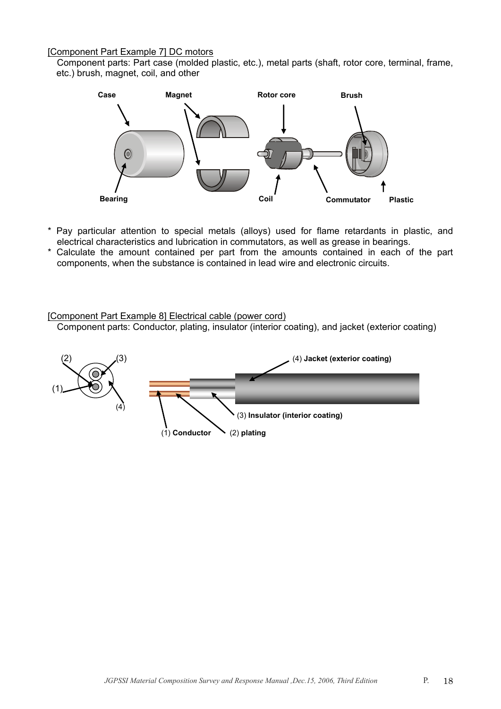## [Component Part Example 7] DC motors

 Component parts: Part case (molded plastic, etc.), metal parts (shaft, rotor core, terminal, frame, etc.) brush, magnet, coil, and other



- \* Pay particular attention to special metals (alloys) used for flame retardants in plastic, and electrical characteristics and lubrication in commutators, as well as grease in bearings.
- \* Calculate the amount contained per part from the amounts contained in each of the part components, when the substance is contained in lead wire and electronic circuits.

### [Component Part Example 8] Electrical cable (power cord)

Component parts: Conductor, plating, insulator (interior coating), and jacket (exterior coating)

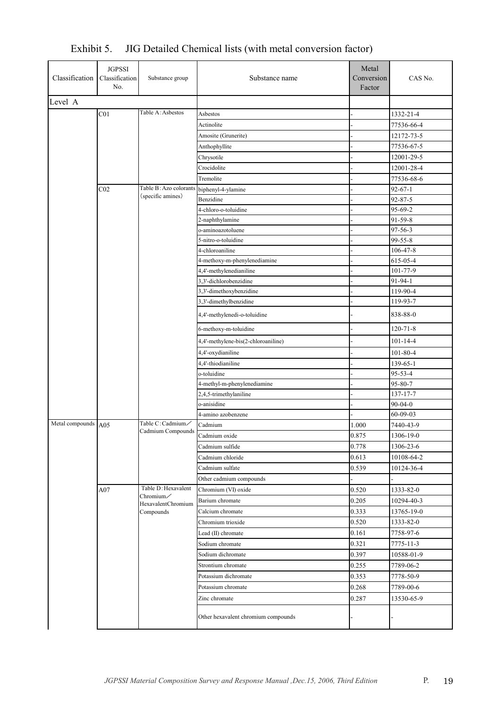| Classification Classification | <b>JGPSSI</b><br>No. | Substance group                 | Substance name                      | Metal<br>Conversion<br>Factor | CAS No.        |
|-------------------------------|----------------------|---------------------------------|-------------------------------------|-------------------------------|----------------|
| Level A                       |                      |                                 |                                     |                               |                |
|                               | CO <sub>1</sub>      | Table A: Asbestos               | Asbestos                            |                               | 1332-21-4      |
|                               |                      |                                 | Actinolite                          |                               | 77536-66-4     |
|                               |                      |                                 | Amosite (Grunerite)                 |                               | 12172-73-5     |
|                               |                      |                                 | Anthophyllite                       |                               | 77536-67-5     |
|                               |                      |                                 | Chrysotile                          |                               | 12001-29-5     |
|                               |                      |                                 | Crocidolite                         |                               | 12001-28-4     |
|                               |                      |                                 | Tremolite                           |                               | 77536-68-6     |
|                               | C <sub>02</sub>      | Table B: Azo colorants          | biphenyl-4-ylamine                  |                               | $92 - 67 - 1$  |
|                               |                      | (specific amines)               | Benzidine                           |                               | $92 - 87 - 5$  |
|                               |                      |                                 | 4-chloro-o-toluidine                |                               | 95-69-2        |
|                               |                      |                                 | 2-naphthylamine                     |                               | 91-59-8        |
|                               |                      |                                 | o-aminoazotoluene                   |                               | $97 - 56 - 3$  |
|                               |                      |                                 | 5-nitro-o-toluidine                 |                               | $99 - 55 - 8$  |
|                               |                      |                                 | 4-chloroaniline                     |                               | 106-47-8       |
|                               |                      |                                 | 4-methoxy-m-phenylenediamine        |                               | 615-05-4       |
|                               |                      |                                 | 4,4'-methylenedianiline             |                               | 101-77-9       |
|                               |                      |                                 | 3,3'-dichlorobenzidine              |                               | 91-94-1        |
|                               |                      |                                 | 3,3'-dimethoxybenzidine             |                               | 119-90-4       |
|                               |                      |                                 | 3,3'-dimethylbenzidine              |                               | 119-93-7       |
|                               |                      |                                 | 4,4'-methylenedi-o-toluidine        |                               | 838-88-0       |
|                               |                      |                                 | 6-methoxy-m-toluidine               |                               | $120 - 71 - 8$ |
|                               |                      |                                 | 4,4'-methylene-bis(2-chloroaniline) |                               | $101 - 14 - 4$ |
|                               |                      |                                 | 4,4'-oxydianiline                   |                               | $101 - 80 - 4$ |
|                               |                      |                                 | 4,4'-thiodianiline                  |                               | 139-65-1       |
|                               |                      |                                 | o-toluidine                         |                               | 95-53-4        |
|                               |                      |                                 | 4-methyl-m-phenylenediamine         |                               | 95-80-7        |
|                               |                      |                                 | 2,4,5-trimethylaniline              |                               | 137-17-7       |
|                               |                      |                                 | o-anisidine                         |                               | $90 - 04 - 0$  |
|                               |                      |                                 | 4-amino azobenzene                  |                               | 60-09-03       |
| Metal compounds A05           |                      | Table C: Cadmium/               | Cadmium                             | 1.000                         | 7440-43-9      |
|                               |                      | Cadmium Compounds               | Cadmium oxide                       | 0.875                         | 1306-19-0      |
|                               |                      |                                 | Cadmium sulfide                     | 0.778                         | 1306-23-6      |
|                               |                      |                                 | Cadmium chloride                    | 0.613                         | 10108-64-2     |
|                               |                      |                                 | Cadmium sulfate                     | 0.539                         | 10124-36-4     |
|                               |                      |                                 | Other cadmium compounds             |                               |                |
|                               | A07                  | Table D: Hexavalent             | Chromium (VI) oxide                 | 0.520                         | 1333-82-0      |
|                               |                      | Chromium/<br>HexavalentChromium | Barium chromate                     | 0.205                         | 10294-40-3     |
|                               |                      | Compounds                       | Calcium chromate                    | 0.333                         | 13765-19-0     |
|                               |                      |                                 | Chromium trioxide                   | 0.520                         | 1333-82-0      |
|                               |                      |                                 | Lead (II) chromate                  | 0.161                         | 7758-97-6      |
|                               |                      |                                 | Sodium chromate                     | 0.321                         | 7775-11-3      |
|                               |                      |                                 | Sodium dichromate                   | 0.397                         | 10588-01-9     |
|                               |                      |                                 | Strontium chromate                  | 0.255                         | 7789-06-2      |
|                               |                      |                                 | Potassium dichromate                | 0.353                         | 7778-50-9      |
|                               |                      |                                 | Potassium chromate                  | 0.268                         | 7789-00-6      |
|                               |                      |                                 | Zinc chromate                       | 0.287                         | 13530-65-9     |
|                               |                      |                                 | Other hexavalent chromium compounds |                               |                |
|                               |                      |                                 |                                     |                               |                |

Exhibit 5. JIG Detailed Chemical lists (with metal conversion factor)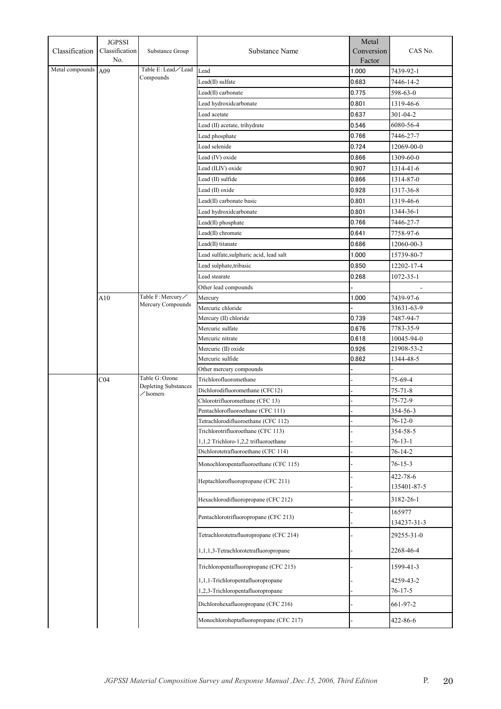| Classification  | <b>JGPSSI</b><br>Classification | Substance Group                                            | Substance Name                                                            | Metal<br>Conversion | CAS No.                   |
|-----------------|---------------------------------|------------------------------------------------------------|---------------------------------------------------------------------------|---------------------|---------------------------|
| Metal compounds | No.                             | Table E:Lead∕Lead                                          |                                                                           | Factor              |                           |
|                 | A09                             | Compounds                                                  | Lead                                                                      | 1.000               | 7439-92-1                 |
|                 |                                 |                                                            | Lead(II) sulfate                                                          | 0.683               | 7446-14-2                 |
|                 |                                 |                                                            | Lead(II) carbonate                                                        | 0.775               | 598-63-0                  |
|                 |                                 |                                                            | Lead hydroxidcarbonate                                                    | 0.801               | 1319-46-6                 |
|                 |                                 |                                                            | Lead acetate                                                              | 0.637               | $301 - 04 - 2$            |
|                 |                                 |                                                            | Lead (II) acetate, trihydrate                                             | 0.546               | 6080-56-4                 |
|                 |                                 |                                                            | Lead phosphate                                                            | 0.766               | 7446-27-7                 |
|                 |                                 |                                                            | Lead selenide                                                             | 0.724               | 12069-00-0                |
|                 |                                 |                                                            | Lead (IV) oxide                                                           | 0.866               | 1309-60-0                 |
|                 |                                 |                                                            | Lead (II,IV) oxide                                                        | 0.907               | 1314-41-6                 |
|                 |                                 |                                                            | Lead (II) sulfide                                                         | 0.866               | 1314-87-0                 |
|                 |                                 |                                                            | Lead (II) oxide                                                           | 0.928               | 1317-36-8                 |
|                 |                                 |                                                            | Lead(II) carbonate basic                                                  | 0.801               | 1319-46-6                 |
|                 |                                 |                                                            | Lead hydroxidcarbonate                                                    | 0.801               | 1344-36-1                 |
|                 |                                 |                                                            | Lead(II) phosphate                                                        | 0.766               | 7446-27-7                 |
|                 |                                 |                                                            | Lead(II) chromate                                                         | 0.641               | 7758-97-6                 |
|                 |                                 |                                                            | Lead(II) titanate                                                         | 0.686               | 12060-00-3                |
|                 |                                 |                                                            | Lead sulfate, sulphuric acid, lead salt                                   | 1.000               | 15739-80-7                |
|                 |                                 |                                                            | Lead sulphate, tribasic                                                   | 0.850               | 12202-17-4                |
|                 |                                 |                                                            | Lead stearate                                                             | 0.268               | $1072 - 35 - 1$           |
|                 |                                 |                                                            | Other lead compounds                                                      |                     |                           |
|                 | A10                             | Table F: Mercury                                           | Mercury                                                                   | 1.000               | 7439-97-6                 |
|                 |                                 | Mercury Compounds                                          | Mercuric chloride                                                         |                     | 33631-63-9                |
|                 |                                 |                                                            | Mercury (II) chloride                                                     | 0.739               | 7487-94-7                 |
|                 |                                 |                                                            | Mercuric sulfate                                                          | 0.676               | 7783-35-9                 |
|                 |                                 |                                                            | Mercuric nitrate                                                          | 0.618               | 10045-94-0                |
|                 |                                 |                                                            | Mercuric (II) oxide                                                       | 0.926               | 21908-53-2                |
|                 |                                 |                                                            | Mercuric sulfide                                                          | 0.862               | 1344-48-5                 |
|                 |                                 |                                                            | Other mercury compounds                                                   |                     |                           |
|                 | C04                             | Table G: Ozone<br>Depleting Substances<br>$\angle$ Isomers | Trichlorofluoromethane                                                    |                     | 75-69-4                   |
|                 |                                 |                                                            | Dichlorodifluoromethane (CFC12)                                           |                     | 75-71-8                   |
|                 |                                 |                                                            | Chlorotrifluoromethane (CFC 13)                                           |                     | 75-72-9                   |
|                 |                                 |                                                            | Pentachlorofluoroethane (CFC 111)                                         |                     | 354-56-3                  |
|                 |                                 |                                                            | Tetrachlorodifluoroethane (CFC 112)<br>Trichlorotrifluoroethane (CFC 113) |                     | $76 - 12 - 0$             |
|                 |                                 |                                                            | 1,1,2 Trichloro-1,2,2 trifluoroethane                                     |                     | 354-58-5<br>$76 - 13 - 1$ |
|                 |                                 |                                                            | Dichlorotetrafluoroethane (CFC 114)                                       |                     | $76 - 14 - 2$             |
|                 |                                 |                                                            |                                                                           |                     |                           |
|                 |                                 |                                                            | Monochloropentafluoroethane (CFC 115)                                     |                     | $76 - 15 - 3$             |
|                 |                                 |                                                            | Heptachlorofluoropropane (CFC 211)                                        |                     | 422-78-6<br>135401-87-5   |
|                 |                                 |                                                            | Hexachlorodifluoropropane (CFC 212)                                       |                     | 3182-26-1                 |
|                 |                                 |                                                            | Pentachlorotrifluoropropane (CFC 213)                                     |                     | 165977<br>134237-31-3     |
|                 |                                 |                                                            | Tetrachlorotetrafluoropropane (CFC 214)                                   |                     | 29255-31-0                |
|                 |                                 |                                                            | 1,1,1,3-Tetrachlorotetrafluoropropane                                     |                     | 2268-46-4                 |
|                 |                                 |                                                            | Trichloropentafluoropropane (CFC 215)                                     |                     | 1599-41-3                 |
|                 |                                 |                                                            | 1,1,1-Trichloropentafluoropropane                                         |                     | 4259-43-2                 |
|                 |                                 |                                                            | 1,2,3-Trichloropentafluoropropane                                         |                     | $76 - 17 - 5$             |
|                 |                                 |                                                            | Dichlorohexafluoropropane (CFC 216)                                       |                     | 661-97-2                  |
|                 |                                 |                                                            | Monochloroheptafluoropropane (CFC 217)                                    |                     | 422-86-6                  |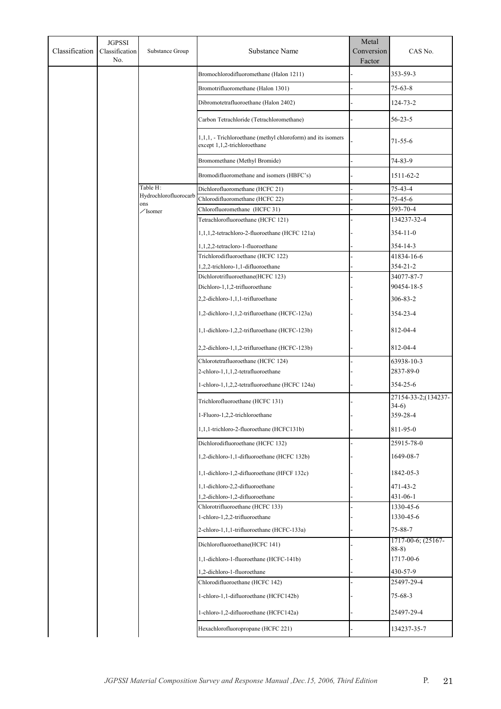| Classification | <b>JGPSSI</b><br>Classification<br>No. | Substance Group              | Substance Name                                                                               | Metal<br>Conversion<br>Factor | CAS No.                           |
|----------------|----------------------------------------|------------------------------|----------------------------------------------------------------------------------------------|-------------------------------|-----------------------------------|
|                |                                        |                              | Bromochlorodifluoromethane (Halon 1211)                                                      |                               | 353-59-3                          |
|                |                                        |                              | Bromotrifluoromethane (Halon 1301)                                                           |                               | $75 - 63 - 8$                     |
|                |                                        |                              | Dibromotetrafluoroethane (Halon 2402)                                                        |                               | 124-73-2                          |
|                |                                        |                              | Carbon Tetrachloride (Tetrachloromethane)                                                    |                               | $56 - 23 - 5$                     |
|                |                                        |                              | 1,1,1, - Trichloroethane (methyl chloroform) and its isomers<br>except 1,1,2-trichloroethane |                               | $71 - 55 - 6$                     |
|                |                                        |                              | Bromomethane (Methyl Bromide)                                                                |                               | 74-83-9                           |
|                |                                        |                              | Bromodifluoromethane and isomers (HBFC's)                                                    |                               | 1511-62-2                         |
|                |                                        | Table H:                     | Dichlorofluoromethane (HCFC 21)                                                              |                               | 75-43-4                           |
|                |                                        | Hydrochlorofluorocarb<br>ons | Chlorodifluoromethane (HCFC 22)                                                              |                               | 75-45-6                           |
|                |                                        | $\angle$ Isomer              | Chlorofluoromethane (HCFC 31)                                                                |                               | 593-70-4                          |
|                |                                        |                              | Tetrachlorofluoroethane (HCFC 121)                                                           |                               | 134237-32-4                       |
|                |                                        |                              | 1,1,1,2-tetrachloro-2-fluoroethane (HCFC 121a)                                               |                               | 354-11-0                          |
|                |                                        |                              | 1,1,2,2-tetracloro-1-fluoroethane                                                            |                               | 354-14-3                          |
|                |                                        |                              | Trichlorodifluoroethane (HCFC 122)                                                           |                               | 41834-16-6                        |
|                |                                        |                              | 1,2,2-trichloro-1,1-difluoroethane                                                           |                               | 354-21-2                          |
|                |                                        |                              | Dichlorotrifluoroethane(HCFC 123)                                                            |                               | 34077-87-7                        |
|                |                                        |                              | Dichloro-1,1,2-trifluoroethane                                                               |                               | 90454-18-5                        |
|                |                                        |                              | 2,2-dichloro-1,1,1-trifluroethane                                                            |                               | 306-83-2                          |
|                |                                        |                              | 1,2-dichloro-1,1,2-trifluroethane (HCFC-123a)                                                |                               | 354-23-4                          |
|                |                                        |                              | 1,1-dichloro-1,2,2-trifluroethane (HCFC-123b)                                                |                               | 812-04-4                          |
|                |                                        |                              | 2,2-dichloro-1,1,2-trifluroethane (HCFC-123b)                                                |                               | 812-04-4                          |
|                |                                        |                              | Chlorotetrafluoroethane (HCFC 124)                                                           |                               | 63938-10-3                        |
|                |                                        |                              | 2-chloro-1,1,1,2-tetrafluoroethane                                                           |                               | 2837-89-0                         |
|                |                                        |                              | 1-chloro-1,1,2,2-tetrafluoroethane (HCFC 124a)                                               |                               | 354-25-6                          |
|                |                                        |                              | Trichlorofluoroethane (HCFC 131)                                                             |                               | 27154-33-2;(134237-               |
|                |                                        |                              |                                                                                              |                               | $34-6)$                           |
|                |                                        |                              | 1-Fluoro-1,2,2-trichloroethane                                                               |                               | 359-28-4                          |
|                |                                        |                              | 1,1,1-trichloro-2-fluoroethane (HCFC131b)                                                    |                               | 811-95-0                          |
|                |                                        |                              | Dichlorodifluoroethane (HCFC 132)                                                            |                               | 25915-78-0                        |
|                |                                        |                              | 1,2-dichloro-1,1-difluoroethane (HCFC 132b)                                                  |                               | 1649-08-7                         |
|                |                                        |                              | 1,1-dichloro-1,2-difluoroethane (HFCF 132c)                                                  |                               | 1842-05-3                         |
|                |                                        |                              | 1,1-dichloro-2,2-difluoroethane                                                              |                               | $471 - 43 - 2$                    |
|                |                                        |                              | 1,2-dichloro-1,2-difluoroethane                                                              |                               | 431-06-1                          |
|                |                                        |                              | Chlorotrifluoroethane (HCFC 133)                                                             |                               | 1330-45-6                         |
|                |                                        |                              | 1-chloro-1,2,2-trifluoroethane                                                               |                               | 1330-45-6                         |
|                |                                        |                              | 2-chloro-1,1,1-trifluoroethane (HCFC-133a)                                                   |                               | $75 - 88 - 7$                     |
|                |                                        |                              | Dichlorofluoroethane(HCFC 141)                                                               |                               | $1717-00-6$ ; $(25167-$<br>$88-8$ |
|                |                                        |                              | 1,1-dichloro-1-fluoroethane (HCFC-141b)                                                      |                               | 1717-00-6                         |
|                |                                        |                              | 1,2-dichloro-1-fluoroethane                                                                  |                               | 430-57-9                          |
|                |                                        |                              | Chlorodifluoroethane (HCFC 142)                                                              |                               | 25497-29-4                        |
|                |                                        |                              | 1-chloro-1,1-difluoroethane (HCFC142b)                                                       |                               | $75 - 68 - 3$                     |
|                |                                        |                              | 1-chloro-1,2-difluoroethane (HCFC142a)                                                       |                               | 25497-29-4                        |
|                |                                        |                              | Hexachlorofluoropropane (HCFC 221)                                                           |                               | 134237-35-7                       |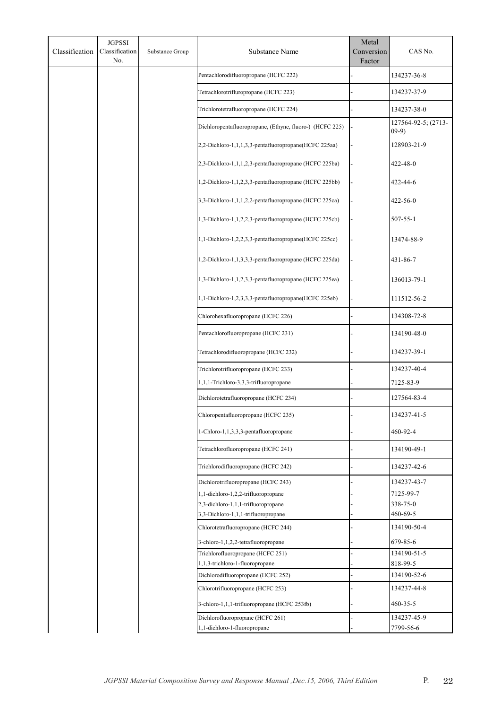| Classification | <b>JGPSSI</b><br>Classification<br>No. | Substance Group | Substance Name                                           | Metal<br>Conversion<br>Factor | CAS No.                         |
|----------------|----------------------------------------|-----------------|----------------------------------------------------------|-------------------------------|---------------------------------|
|                |                                        |                 | Pentachlorodifluoropropane (HCFC 222)                    |                               | 134237-36-8                     |
|                |                                        |                 | Tetrachlorotrifluropropane (HCFC 223)                    |                               | 134237-37-9                     |
|                |                                        |                 | Trichlorotetrafluoropropane (HCFC 224)                   |                               | 134237-38-0                     |
|                |                                        |                 | Dichloropentafluoropropane, (Ethyne, fluoro-) (HCFC 225) |                               | 127564-92-5; (2713-<br>$(09-9)$ |
|                |                                        |                 | 2,2-Dichloro-1,1,1,3,3-pentafluoropropane(HCFC 225aa)    |                               | 128903-21-9                     |
|                |                                        |                 | 2,3-Dichloro-1,1,1,2,3-pentafluoropropane (HCFC 225ba)   |                               | 422-48-0                        |
|                |                                        |                 | 1,2-Dichloro-1,1,2,3,3-pentafluoropropane (HCFC 225bb)   |                               | 422-44-6                        |
|                |                                        |                 | 3,3-Dichloro-1,1,1,2,2-pentafluoropropane (HCFC 225ca)   |                               | 422-56-0                        |
|                |                                        |                 | 1,3-Dichloro-1,1,2,2,3-pentafluoropropane (HCFC 225cb)   |                               | 507-55-1                        |
|                |                                        |                 | 1,1-Dichloro-1,2,2,3,3-pentafluoropropane(HCFC 225cc)    |                               | 13474-88-9                      |
|                |                                        |                 | 1,2-Dichloro-1,1,3,3,3-pentafluoropropane (HCFC 225da)   |                               | 431-86-7                        |
|                |                                        |                 | 1,3-Dichloro-1,1,2,3,3-pentafluoropropane (HCFC 225ea)   |                               | 136013-79-1                     |
|                |                                        |                 | 1,1-Dichloro-1,2,3,3,3-pentafluoropropane(HCFC 225eb)    |                               | 111512-56-2                     |
|                |                                        |                 | Chlorohexafluoropropane (HCFC 226)                       |                               | 134308-72-8                     |
|                |                                        |                 | Pentachlorofluoropropane (HCFC 231)                      |                               | 134190-48-0                     |
|                |                                        |                 | Tetrachlorodifluoropropane (HCFC 232)                    |                               | 134237-39-1                     |
|                |                                        |                 | Trichlorotrifluoropropane (HCFC 233)                     |                               | 134237-40-4                     |
|                |                                        |                 | 1,1,1-Trichloro-3,3,3-trifluoropropane                   |                               | 7125-83-9                       |
|                |                                        |                 | Dichlorotetrafluoropropane (HCFC 234)                    |                               | 127564-83-4                     |
|                |                                        |                 | Chloropentafluoropropane (HCFC 235)                      |                               | 134237-41-5                     |
|                |                                        |                 | 1-Chloro-1,1,3,3,3-pentafluoropropane                    |                               | 460-92-4                        |
|                |                                        |                 | Tetrachlorofluoropropane (HCFC 241)                      |                               | 134190-49-1                     |
|                |                                        |                 | Trichlorodifluoropropane (HCFC 242)                      |                               | 134237-42-6                     |
|                |                                        |                 | Dichlorotrifluoropropane (HCFC 243)                      |                               | 134237-43-7                     |
|                |                                        |                 | 1,1-dichloro-1,2,2-trifluoropropane                      |                               | 7125-99-7                       |
|                |                                        |                 | 2,3-dichloro-1,1,1-trifluoropropane                      |                               | 338-75-0                        |
|                |                                        |                 | 3,3-Dichloro-1,1,1-trifluoropropane                      |                               | 460-69-5                        |
|                |                                        |                 | Chlorotetrafluoropropane (HCFC 244)                      |                               | 134190-50-4                     |
|                |                                        |                 | 3-chloro-1,1,2,2-tetrafluoropropane                      |                               | 679-85-6                        |
|                |                                        |                 | Trichlorofluoropropane (HCFC 251)                        |                               | 134190-51-5                     |
|                |                                        |                 | 1,1,3-trichloro-1-fluoropropane                          |                               | 818-99-5                        |
|                |                                        |                 | Dichlorodifluoropropane (HCFC 252)                       |                               | 134190-52-6                     |
|                |                                        |                 | Chlorotrifluoropropane (HCFC 253)                        |                               | 134237-44-8                     |
|                |                                        |                 | 3-chloro-1,1,1-trifluoropropane (HCFC 253fb)             |                               | $460 - 35 - 5$                  |
|                |                                        |                 | Dichlorofluoropropane (HCFC 261)                         |                               | 134237-45-9                     |
|                |                                        |                 | 1,1-dichloro-1-fluoropropane                             |                               | 7799-56-6                       |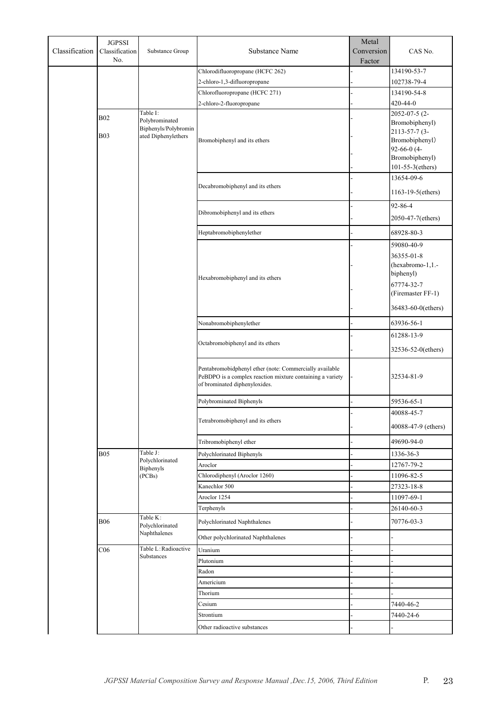| Classification | <b>JGPSSI</b><br>Classification<br>No. | Substance Group                    | <b>Substance Name</b>                                                                                                                                 | Metal<br>Conversion | CAS No.                         |
|----------------|----------------------------------------|------------------------------------|-------------------------------------------------------------------------------------------------------------------------------------------------------|---------------------|---------------------------------|
|                |                                        |                                    |                                                                                                                                                       | Factor              |                                 |
|                |                                        |                                    | Chlorodifluoropropane (HCFC 262)                                                                                                                      |                     | 134190-53-7                     |
|                |                                        |                                    | 2-chloro-1,3-difluoropropane                                                                                                                          |                     | 102738-79-4                     |
|                |                                        |                                    | Chlorofluoropropane (HCFC 271)                                                                                                                        |                     | 134190-54-8                     |
|                |                                        | Table I:                           | 2-chloro-2-fluoropropane                                                                                                                              |                     | 420-44-0<br>2052-07-5 (2-       |
|                | <b>B02</b>                             | Polybrominated                     |                                                                                                                                                       |                     | Bromobiphenyl)                  |
|                |                                        | Biphenyls/Polybromin               |                                                                                                                                                       |                     | 2113-57-7 (3-                   |
|                | <b>B03</b>                             | ated Diphenylethers                | Bromobiphenyl and its ethers                                                                                                                          |                     | Bromobiphenyl)                  |
|                |                                        |                                    |                                                                                                                                                       |                     | 92-66-0 (4-                     |
|                |                                        |                                    |                                                                                                                                                       |                     | Bromobiphenyl)                  |
|                |                                        |                                    |                                                                                                                                                       |                     | 101-55-3(ethers)                |
|                |                                        |                                    | Decabromobiphenyl and its ethers                                                                                                                      |                     | 13654-09-6                      |
|                |                                        |                                    |                                                                                                                                                       |                     | $1163 - 19 - 5$ (ethers)        |
|                |                                        |                                    |                                                                                                                                                       |                     | 92-86-4                         |
|                |                                        |                                    | Dibromobiphenyl and its ethers                                                                                                                        |                     | 2050-47-7(ethers)               |
|                |                                        |                                    |                                                                                                                                                       |                     |                                 |
|                |                                        |                                    | Heptabromobiphenylether                                                                                                                               |                     | 68928-80-3                      |
|                |                                        |                                    |                                                                                                                                                       |                     | 59080-40-9                      |
|                |                                        |                                    |                                                                                                                                                       |                     | 36355-01-8                      |
|                |                                        |                                    |                                                                                                                                                       |                     | (hexabromo-1,1.-                |
|                |                                        |                                    | Hexabromobiphenyl and its ethers                                                                                                                      |                     | biphenyl)                       |
|                |                                        |                                    |                                                                                                                                                       |                     | 67774-32-7<br>(Firemaster FF-1) |
|                |                                        |                                    |                                                                                                                                                       |                     |                                 |
|                |                                        |                                    |                                                                                                                                                       |                     | 36483-60-0(ethers)              |
|                |                                        |                                    | Nonabromobiphenylether                                                                                                                                |                     | 63936-56-1                      |
|                |                                        |                                    |                                                                                                                                                       |                     | 61288-13-9                      |
|                |                                        |                                    | Octabromobiphenyl and its ethers                                                                                                                      |                     | 32536-52-0(ethers)              |
|                |                                        |                                    | Pentabromobidphenyl ether (note: Commercially available<br>PeBDPO is a complex reaction mixture containing a variety<br>of brominated diphenyloxides. |                     | 32534-81-9                      |
|                |                                        |                                    | Polybrominated Biphenyls                                                                                                                              |                     | 59536-65-1                      |
|                |                                        |                                    |                                                                                                                                                       |                     | 40088-45-7                      |
|                |                                        |                                    | Tetrabromobiphenyl and its ethers                                                                                                                     |                     | 40088-47-9 (ethers)             |
|                |                                        |                                    | Tribromobiphenyl ether                                                                                                                                |                     | 49690-94-0                      |
|                | <b>B05</b>                             | Table J:                           | Polychlorinated Biphenyls                                                                                                                             |                     | 1336-36-3                       |
|                |                                        | Polychlorinated                    | Aroclor                                                                                                                                               |                     | 12767-79-2                      |
|                |                                        | <b>Biphenyls</b><br>(PCBs)         | Chlorodiphenyl (Aroclor 1260)                                                                                                                         |                     | 11096-82-5                      |
|                |                                        |                                    | Kanechlor 500                                                                                                                                         |                     | 27323-18-8                      |
|                |                                        |                                    | Aroclor 1254                                                                                                                                          |                     | 11097-69-1                      |
|                |                                        |                                    | Terphenyls                                                                                                                                            |                     | 26140-60-3                      |
|                |                                        | Table K:                           |                                                                                                                                                       |                     |                                 |
|                | <b>B06</b>                             | Polychlorinated<br>Naphthalenes    | Polychlorinated Naphthalenes<br>Other polychlorinated Naphthalenes                                                                                    |                     | 70776-03-3                      |
|                |                                        |                                    |                                                                                                                                                       |                     |                                 |
|                | C <sub>06</sub>                        | Table L: Radioactive<br>Substances | Uranium                                                                                                                                               |                     |                                 |
|                |                                        |                                    | Plutonium                                                                                                                                             |                     |                                 |
|                |                                        |                                    | Radon                                                                                                                                                 |                     |                                 |
|                |                                        |                                    | Americium                                                                                                                                             |                     |                                 |
|                |                                        |                                    | Thorium                                                                                                                                               |                     |                                 |
|                |                                        |                                    | Cesium                                                                                                                                                |                     | 7440-46-2                       |
|                |                                        |                                    | Strontium                                                                                                                                             |                     | 7440-24-6                       |
|                |                                        |                                    | Other radioactive substances                                                                                                                          |                     |                                 |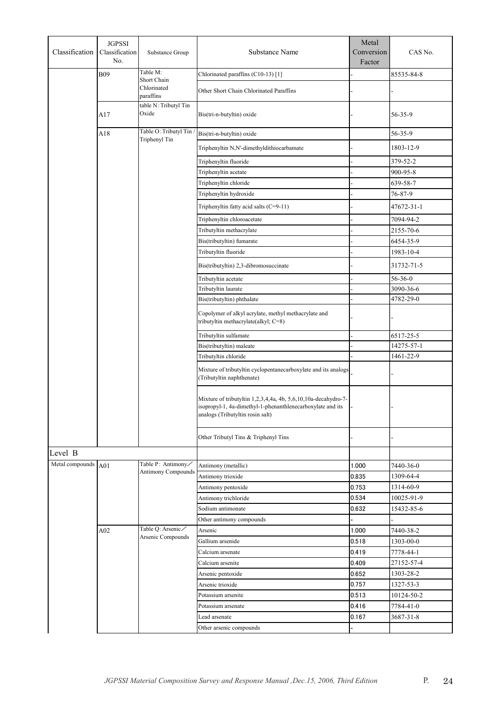| Classification      | <b>JGPSSI</b><br>Classification<br>Substance Group<br>No. |                                                 | <b>Substance Name</b>                                                                                                                                            | Metal<br>Conversion<br>Factor | CAS No.       |
|---------------------|-----------------------------------------------------------|-------------------------------------------------|------------------------------------------------------------------------------------------------------------------------------------------------------------------|-------------------------------|---------------|
|                     | <b>B09</b>                                                | Table M:<br>Short Chain                         | Chlorinated paraffins (C10-13) [1]                                                                                                                               |                               | 85535-84-8    |
|                     |                                                           | Chlorinated<br>paraffins                        | Other Short Chain Chlorinated Paraffins                                                                                                                          |                               |               |
|                     | A17                                                       | table N: Tributyl Tin<br>Oxide                  | Bis(tri-n-butyltin) oxide                                                                                                                                        |                               | 56-35-9       |
|                     | A18                                                       | Table O: Tributyl Tin<br>Triphenyl Tin          | Bis(tri-n-butyltin) oxide                                                                                                                                        |                               | 56-35-9       |
|                     |                                                           |                                                 | Triphenyltin N,N'-dimethyldithiocarbamate                                                                                                                        |                               | 1803-12-9     |
|                     |                                                           |                                                 | Triphenyltin fluoride                                                                                                                                            |                               | 379-52-2      |
|                     |                                                           |                                                 | Triphenyltin acetate                                                                                                                                             |                               | 900-95-8      |
|                     |                                                           |                                                 | Triphenyltin chloride                                                                                                                                            |                               | 639-58-7      |
|                     |                                                           |                                                 | Triphenyltin hydroxide                                                                                                                                           |                               | 76-87-9       |
|                     |                                                           |                                                 | Triphenyltin fatty acid salts (C=9-11)                                                                                                                           |                               | 47672-31-1    |
|                     |                                                           |                                                 | Triphenyltin chloroacetate                                                                                                                                       |                               | 7094-94-2     |
|                     |                                                           |                                                 | Tributyltin methacrylate                                                                                                                                         |                               | 2155-70-6     |
|                     |                                                           |                                                 | Bis(tributyltin) fumarate                                                                                                                                        |                               | 6454-35-9     |
|                     |                                                           |                                                 | Tributyltin fluoride                                                                                                                                             |                               | 1983-10-4     |
|                     |                                                           |                                                 | Bis(tributyltin) 2,3-dibromosuccinate                                                                                                                            |                               | 31732-71-5    |
|                     |                                                           |                                                 | Tributyltin acetate                                                                                                                                              |                               | $56 - 36 - 0$ |
|                     |                                                           |                                                 | Tributyltin laurate                                                                                                                                              |                               | 3090-36-6     |
|                     |                                                           |                                                 | Bis(tributyltin) phthalate                                                                                                                                       |                               | 4782-29-0     |
|                     |                                                           |                                                 | Copolymer of alkyl acrylate, methyl methacrylate and<br>tributyltin methacrylate(alkyl; C=8)                                                                     |                               |               |
|                     |                                                           |                                                 | Tributyltin sulfamate                                                                                                                                            |                               | 6517-25-5     |
|                     |                                                           |                                                 | Bis(tributyltin) maleate                                                                                                                                         |                               | 14275-57-1    |
|                     |                                                           |                                                 | Tributyltin chloride                                                                                                                                             |                               | 1461-22-9     |
|                     |                                                           |                                                 | Mixture of tributyltin cyclopentanecarboxylate and its analogs<br>(Tributyltin naphthenate)                                                                      |                               |               |
|                     |                                                           |                                                 | Mixture of tributyltin 1,2,3,4,4a, 4b, 5,6,10,10a-decahydro-7-<br>isopropyl-1, 4a-dimethyl-1-phenanthlenecarboxylate and its<br>analogs (Tributyltin rosin salt) |                               |               |
|                     |                                                           |                                                 | Other Tributyl Tins & Triphenyl Tins                                                                                                                             |                               |               |
| Level B             |                                                           |                                                 |                                                                                                                                                                  |                               |               |
| Metal compounds A01 |                                                           | Table P: Antimony/<br><b>Antimony Compounds</b> | Antimony (metallic)                                                                                                                                              | 1.000                         | 7440-36-0     |
|                     |                                                           |                                                 | Antimony trioxide                                                                                                                                                | 0.835                         | 1309-64-4     |
|                     |                                                           |                                                 | Antimony pentoxide                                                                                                                                               | 0.753                         | 1314-60-9     |
|                     |                                                           |                                                 | Antimony trichloride                                                                                                                                             | 0.534                         | 10025-91-9    |
|                     |                                                           |                                                 | Sodium antimonate                                                                                                                                                | 0.632                         | 15432-85-6    |
|                     |                                                           |                                                 | Other antimony compounds                                                                                                                                         |                               |               |
|                     | A02                                                       | Table Q: Arsenic/<br>Arsenic Compounds          | Arsenic                                                                                                                                                          | 1.000                         | 7440-38-2     |
|                     |                                                           |                                                 | Gallium arsenide                                                                                                                                                 | 0.518                         | 1303-00-0     |
|                     |                                                           |                                                 | Calcium arsenate                                                                                                                                                 | 0.419                         | 7778-44-1     |
|                     |                                                           |                                                 | Calcium arsenite                                                                                                                                                 | 0.409                         | 27152-57-4    |
|                     |                                                           |                                                 | Arsenic pentoxide                                                                                                                                                | 0.652                         | 1303-28-2     |
|                     |                                                           |                                                 | Arsenic trioxide                                                                                                                                                 | 0.757                         | 1327-53-3     |
|                     |                                                           |                                                 | Potassium arsenite                                                                                                                                               | 0.513                         | 10124-50-2    |
|                     |                                                           |                                                 | Potassium arsenate                                                                                                                                               | 0.416                         | 7784-41-0     |
|                     |                                                           |                                                 | Lead arsenate<br>Other arsenic compounds                                                                                                                         | 0.167                         | 3687-31-8     |
|                     |                                                           |                                                 |                                                                                                                                                                  |                               |               |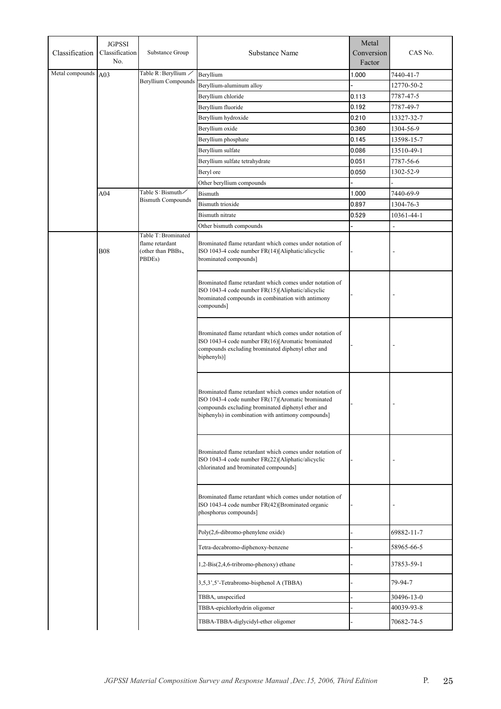| Classification  | <b>JGPSSI</b><br>Classification<br>No.                       | Substance Group            | Substance Name                                                                                                                                                                                                           | Metal<br>Conversion<br>Factor | CAS No.        |
|-----------------|--------------------------------------------------------------|----------------------------|--------------------------------------------------------------------------------------------------------------------------------------------------------------------------------------------------------------------------|-------------------------------|----------------|
| Metal compounds | A03                                                          | Table R: Beryllium /       | Beryllium                                                                                                                                                                                                                | 1.000                         | 7440-41-7      |
|                 |                                                              | <b>Beryllium Compounds</b> | Beryllium-aluminum alloy                                                                                                                                                                                                 |                               | 12770-50-2     |
|                 |                                                              |                            | Beryllium chloride                                                                                                                                                                                                       | 0.113                         | 7787-47-5      |
|                 |                                                              |                            | Beryllium fluoride                                                                                                                                                                                                       | 0.192                         | 7787-49-7      |
|                 |                                                              |                            | Beryllium hydroxide                                                                                                                                                                                                      | 0.210                         | 13327-32-7     |
|                 |                                                              |                            | Beryllium oxide                                                                                                                                                                                                          | 0.360                         | 1304-56-9      |
|                 |                                                              |                            | Beryllium phosphate                                                                                                                                                                                                      | 0.145                         | 13598-15-7     |
|                 |                                                              |                            | Beryllium sulfate                                                                                                                                                                                                        | 0.086                         | 13510-49-1     |
|                 |                                                              |                            | Beryllium sulfate tetrahydrate                                                                                                                                                                                           | 0.051                         | 7787-56-6      |
|                 |                                                              |                            | Beryl ore                                                                                                                                                                                                                | 0.050                         | 1302-52-9      |
|                 |                                                              |                            | Other beryllium compounds                                                                                                                                                                                                |                               |                |
|                 | A04                                                          | Table S: Bismuth/          | <b>Bismuth</b>                                                                                                                                                                                                           | 1.000                         | 7440-69-9      |
|                 |                                                              | <b>Bismuth Compounds</b>   | <b>Bismuth trioxide</b>                                                                                                                                                                                                  | 0.897                         | 1304-76-3      |
|                 |                                                              |                            | Bismuth nitrate                                                                                                                                                                                                          | 0.529                         | 10361-44-1     |
|                 |                                                              |                            | Other bismuth compounds                                                                                                                                                                                                  |                               | $\overline{a}$ |
|                 |                                                              | Table T: Brominated        |                                                                                                                                                                                                                          |                               |                |
|                 | flame retardant<br><b>B08</b><br>(other than PBBs,<br>PBDEs) |                            | Brominated flame retardant which comes under notation of<br>ISO 1043-4 code number FR(14)[Aliphatic/alicyclic<br>brominated compounds]                                                                                   |                               |                |
|                 |                                                              |                            | Brominated flame retardant which comes under notation of<br>ISO 1043-4 code number FR(15)[Aliphatic/alicyclic<br>brominated compounds in combination with antimony<br>compounds]                                         |                               |                |
|                 |                                                              |                            | Brominated flame retardant which comes under notation of<br>ISO 1043-4 code number FR(16)[Aromatic brominated<br>compounds excluding brominated diphenyl ether and<br>biphenyls)]                                        |                               |                |
|                 |                                                              |                            | Brominated flame retardant which comes under notation of<br>ISO 1043-4 code number FR(17)[Aromatic brominated<br>compounds excluding brominated diphenyl ether and<br>biphenyls) in combination with antimony compounds] |                               |                |
|                 |                                                              |                            | Brominated flame retardant which comes under notation of<br>ISO 1043-4 code number FR(22)[Aliphatic/alicyclic<br>chlorinated and brominated compounds]                                                                   |                               |                |
|                 |                                                              |                            | Brominated flame retardant which comes under notation of<br>ISO 1043-4 code number FR(42)[Brominated organic<br>phosphorus compounds]                                                                                    |                               |                |
|                 |                                                              |                            | Poly(2,6-dibromo-phenylene oxide)                                                                                                                                                                                        |                               | 69882-11-7     |
|                 |                                                              |                            | Tetra-decabromo-diphenoxy-benzene                                                                                                                                                                                        |                               | 58965-66-5     |
|                 |                                                              |                            | 1,2-Bis(2,4,6-tribromo-phenoxy) ethane                                                                                                                                                                                   |                               | 37853-59-1     |
|                 |                                                              |                            | 3,5,3',5'-Tetrabromo-bisphenol A (TBBA)                                                                                                                                                                                  |                               | 79-94-7        |
|                 |                                                              |                            | TBBA, unspecified                                                                                                                                                                                                        |                               | 30496-13-0     |
|                 |                                                              |                            | TBBA-epichlorhydrin oligomer                                                                                                                                                                                             |                               | 40039-93-8     |
|                 |                                                              |                            | TBBA-TBBA-diglycidyl-ether oligomer                                                                                                                                                                                      |                               | 70682-74-5     |
|                 |                                                              |                            |                                                                                                                                                                                                                          |                               |                |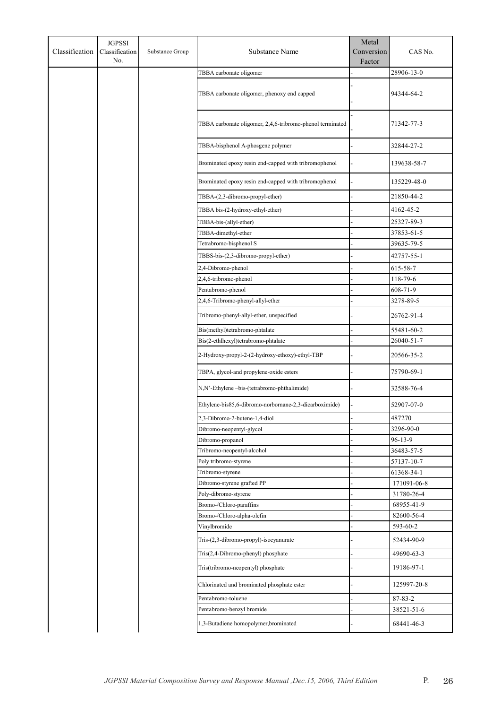| Classification | <b>JGPSSI</b><br>Classification<br>No. | Substance Group | Substance Name                                            | Metal<br>Conversion<br>Factor | CAS No.                  |
|----------------|----------------------------------------|-----------------|-----------------------------------------------------------|-------------------------------|--------------------------|
|                |                                        |                 | TBBA carbonate oligomer                                   |                               | 28906-13-0               |
|                |                                        |                 | TBBA carbonate oligomer, phenoxy end capped               |                               | 94344-64-2               |
|                |                                        |                 | TBBA carbonate oligomer, 2,4,6-tribromo-phenol terminated |                               | 71342-77-3               |
|                |                                        |                 | TBBA-bisphenol A-phosgene polymer                         |                               | 32844-27-2               |
|                |                                        |                 | Brominated epoxy resin end-capped with tribromophenol     |                               | 139638-58-7              |
|                |                                        |                 | Brominated epoxy resin end-capped with tribromophenol     |                               | 135229-48-0              |
|                |                                        |                 | TBBA-(2,3-dibromo-propyl-ether)                           |                               | 21850-44-2               |
|                |                                        |                 | TBBA bis-(2-hydroxy-ethyl-ether)                          |                               | 4162-45-2                |
|                |                                        |                 | TBBA-bis-(allyl-ether)                                    |                               | 25327-89-3               |
|                |                                        |                 | TBBA-dimethyl-ether                                       |                               | 37853-61-5               |
|                |                                        |                 | Tetrabromo-bisphenol S                                    |                               | 39635-79-5               |
|                |                                        |                 | TBBS-bis-(2,3-dibromo-propyl-ether)                       |                               | 42757-55-1               |
|                |                                        |                 | 2,4-Dibromo-phenol                                        |                               | 615-58-7                 |
|                |                                        |                 | 2,4,6-tribromo-phenol                                     |                               | 118-79-6                 |
|                |                                        |                 | Pentabromo-phenol                                         |                               | 608-71-9                 |
|                |                                        |                 | 2,4,6-Tribromo-phenyl-allyl-ether                         |                               | 3278-89-5                |
|                |                                        |                 | Tribromo-phenyl-allyl-ether, unspecified                  |                               | 26762-91-4               |
|                |                                        |                 | Bis(methyl)tetrabromo-phtalate                            |                               | 55481-60-2               |
|                |                                        |                 | Bis(2-ethlhexyl)tetrabromo-phtalate                       |                               | 26040-51-7               |
|                |                                        |                 | 2-Hydroxy-propyl-2-(2-hydroxy-ethoxy)-ethyl-TBP           |                               | 20566-35-2               |
|                |                                        |                 | TBPA, glycol-and propylene-oxide esters                   |                               | 75790-69-1               |
|                |                                        |                 | N,N'-Ethylene-bis-(tetrabromo-phthalimide)                |                               | 32588-76-4               |
|                |                                        |                 | Ethylene-bis85,6-dibromo-norbornane-2,3-dicarboximide)    |                               | 52907-07-0               |
|                |                                        |                 | 2,3-Dibromo-2-butene-1,4-diol                             |                               | 487270                   |
|                |                                        |                 | Dibromo-neopentyl-glycol                                  |                               | 3296-90-0                |
|                |                                        |                 | Dibromo-propanol                                          |                               | $96 - 13 - 9$            |
|                |                                        |                 | Tribromo-neopentyl-alcohol                                |                               | 36483-57-5               |
|                |                                        |                 | Poly tribromo-styrene<br>Tribromo-styrene                 |                               | 57137-10-7<br>61368-34-1 |
|                |                                        |                 | Dibromo-styrene grafted PP                                |                               | 171091-06-8              |
|                |                                        |                 | Poly-dibromo-styrene                                      |                               | 31780-26-4               |
|                |                                        |                 | Bromo-/Chloro-paraffins                                   |                               | 68955-41-9               |
|                |                                        |                 | Bromo-/Chloro-alpha-olefin                                |                               | 82600-56-4               |
|                |                                        |                 | Vinylbromide                                              |                               | 593-60-2                 |
|                |                                        |                 | Tris-(2,3-dibromo-propyl)-isocyanurate                    |                               | 52434-90-9               |
|                |                                        |                 | Tris(2,4-Dibromo-phenyl) phosphate                        |                               | 49690-63-3               |
|                |                                        |                 | Tris(tribromo-neopentyl) phosphate                        |                               | 19186-97-1               |
|                |                                        |                 | Chlorinated and brominated phosphate ester                |                               | 125997-20-8              |
|                |                                        |                 | Pentabromo-toluene                                        |                               | 87-83-2                  |
|                |                                        |                 | Pentabromo-benzyl bromide                                 |                               | 38521-51-6               |
|                |                                        |                 | 1,3-Butadiene homopolymer,brominated                      |                               | 68441-46-3               |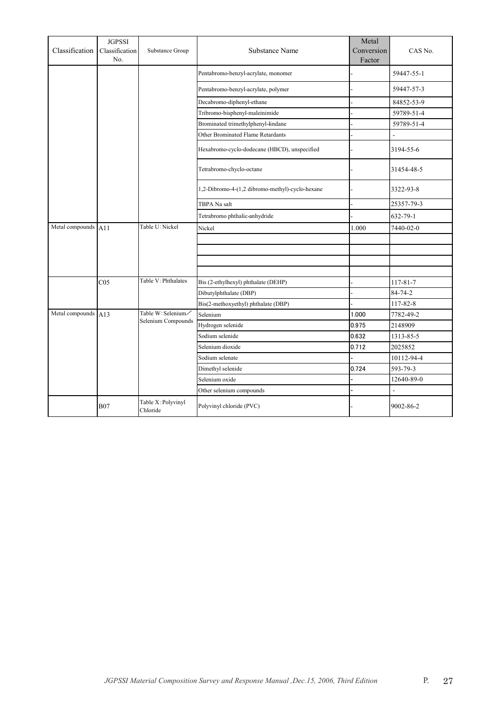| Classification  | <b>JGPSSI</b><br>Classification<br>No. | Substance Group                | Substance Name                                  | Metal<br>Conversion<br>Factor | CAS No.        |
|-----------------|----------------------------------------|--------------------------------|-------------------------------------------------|-------------------------------|----------------|
|                 |                                        |                                | Pentabromo-benzyl-acrylate, monomer             |                               | 59447-55-1     |
|                 |                                        |                                | Pentabromo-benzyl-acrylate, polymer             |                               | 59447-57-3     |
|                 |                                        |                                | Decabromo-diphenyl-ethane                       |                               | 84852-53-9     |
|                 |                                        |                                | Tribromo-bisphenyl-maleinimide                  |                               | 59789-51-4     |
|                 |                                        |                                | Brominated trimethylphenyl-lindane              |                               | 59789-51-4     |
|                 |                                        |                                | Other Brominated Flame Retardants               |                               | L.             |
|                 |                                        |                                | Hexabromo-cyclo-dodecane (HBCD), unspecified    |                               | 3194-55-6      |
|                 |                                        |                                | Tetrabromo-chyclo-octane                        |                               | 31454-48-5     |
|                 |                                        |                                | 1,2-Dibromo-4-(1,2 dibromo-methyl)-cyclo-hexane |                               | 3322-93-8      |
|                 |                                        |                                | TBPA Na salt                                    |                               | 25357-79-3     |
|                 |                                        |                                | Tetrabromo phthalic-anhydride                   |                               | $632 - 79 - 1$ |
| Metal compounds | A11                                    | Table U: Nickel                | Nickel                                          | 1.000                         | 7440-02-0      |
|                 |                                        |                                |                                                 |                               |                |
|                 |                                        |                                |                                                 |                               |                |
|                 |                                        |                                |                                                 |                               |                |
|                 |                                        |                                |                                                 |                               |                |
|                 | CO <sub>5</sub>                        | Table V: Phthalates            | Bis (2-ethylhexyl) phthalate (DEHP)             |                               | 117-81-7       |
|                 |                                        |                                | Dibutylphthalate (DBP)                          |                               | $84 - 74 - 2$  |
|                 |                                        |                                | Bis(2-methoxyethyl) phthalate (DBP)             |                               | 117-82-8       |
| Metal compounds | A13                                    | Table W: Selenium/             | Selenium                                        | 1.000                         | 7782-49-2      |
|                 |                                        | Selenium Compounds             | Hydrogen selenide                               | 0.975                         | 2148909        |
|                 |                                        |                                | Sodium selenide                                 | 0.632                         | 1313-85-5      |
|                 |                                        |                                | Selenium dioxide                                | 0.712                         | 2025852        |
|                 |                                        |                                | Sodium selenate                                 |                               | 10112-94-4     |
|                 |                                        |                                | Dimethyl selenide                               | 0.724                         | 593-79-3       |
|                 |                                        |                                | Selenium oxide                                  |                               | 12640-89-0     |
|                 |                                        |                                | Other selenium compounds                        |                               | $\overline{a}$ |
|                 | <b>B07</b>                             | Table X: Polyvinyl<br>Chloride | Polyvinyl chloride (PVC)                        |                               | 9002-86-2      |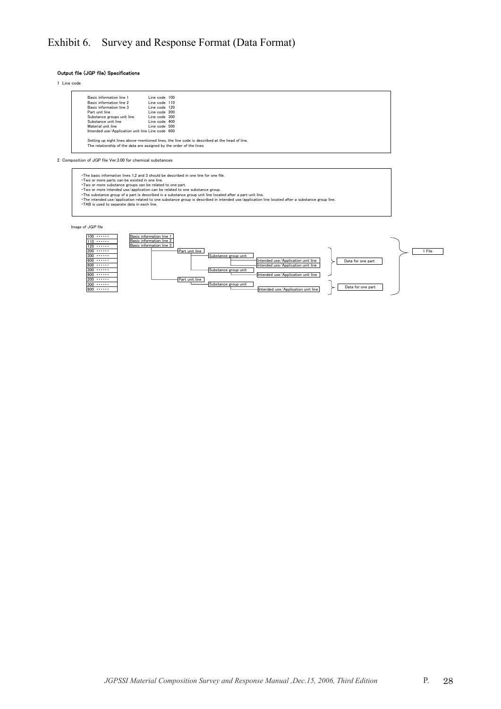## Exhibit 6. Survey and Response Format (Data Format)

Output file (JGP file) Specifications

1 Line code

| Basic information line 1                         | Line code 100 |  |
|--------------------------------------------------|---------------|--|
| Basic information line 2                         | Line code 110 |  |
| Basic information line 3                         | Line code 120 |  |
| Part unit line                                   | Line code 200 |  |
| Substance groups unit line                       | Line code 300 |  |
| Substance unit line                              | Line code 400 |  |
| Material unit line                               | Line code 500 |  |
| Intended use/Application unit line Line code 600 |               |  |

2 Composition of JGP file Ver.3.00 for chemical substances

The basic information lines 1,2 and 3 should be described in one line for one file.<br>Two or more parts can be existed in one line.<br>Two or more intended use/application can be related to one part.<br>Two or more intended use/ap

Image of JGP file

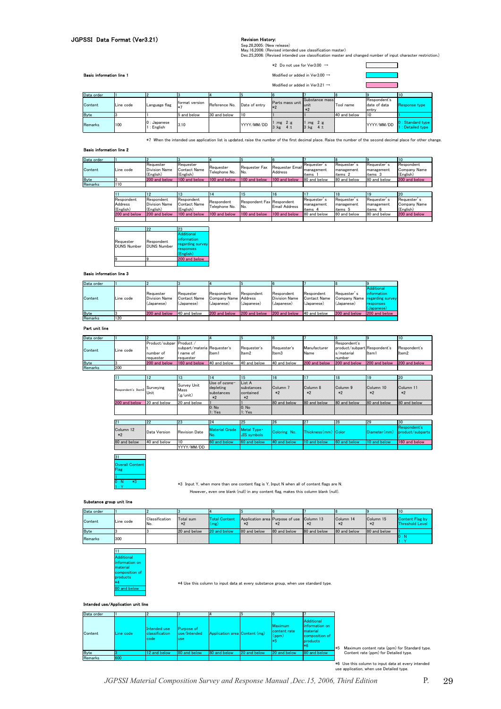### JGPSSI Data Format (Ver3.21)

#### Revision History:

Sep.28,2005: (New release)<br>May.16,2006: (Revised intended use classification master)<br>Dec.25,2006: (Revised intended use classification master and changed number of input character restriction.)

 $\Box$ 

T

 $\overline{\phantom{a}}$ 

| <b>Basic information line 1</b> |  |
|---------------------------------|--|
|                                 |  |

#### \*2 Do not use for Ver3.00 → Basic in Ver3.00  $\rightarrow$

| ---------------------- |           |                            |                |               |               |                                            |                |              |                                       |                                        |
|------------------------|-----------|----------------------------|----------------|---------------|---------------|--------------------------------------------|----------------|--------------|---------------------------------------|----------------------------------------|
|                        |           |                            |                |               |               | Modified or added in Ver3.21 $\rightarrow$ |                |              |                                       |                                        |
| Data order             |           |                            |                |               |               |                                            |                |              |                                       | 10                                     |
| Content                | Line code | Language flag              | format version | Reference No. | Date of entry | Parts mass unit                            | Substance mass | Tool name    | Respondent's<br>date of data<br>entry | <b>Response type</b>                   |
| <b>Byte</b>            |           |                            | 5 and below    | 30 and below  | 110           |                                            |                | 40 and below | 10                                    |                                        |
| Remarks                | 100       | $0:$ Japanese<br>: English | 3.10           |               | YYYY/MM/DD    | $1:mg$ $2:g$<br>$-4t$                      | .              |              | YYYY/MM/DD                            | 0 : Standard type<br>1 : Detailed type |

\*7 When the intended use application list is updated, raise the number of the first decimal place. Raise the number of the second decimal place for other change.

#### Basic information line 2

| Data order     |           |                                                |                                        |                            |                                  |                            |                                      |                                     |                                      | 10                                      |
|----------------|-----------|------------------------------------------------|----------------------------------------|----------------------------|----------------------------------|----------------------------|--------------------------------------|-------------------------------------|--------------------------------------|-----------------------------------------|
| Content        | Line code | Requester<br><b>Division Name</b><br>(English) | Reauester<br>Contact Name<br>(English) | Requester<br>Telephone No. | Requester Fax<br>IN <sub>o</sub> | Requester Email<br>Address | Requester's<br>"Imanagement<br>items | Requester'<br>management<br>items 2 | Requester's<br>management<br>items 3 | Respondent<br>Company Name<br>(English) |
| <b>Byte</b>    |           | 200 and below                                  | 100 and below                          | 100 and below              | 100 and below                    | 100 and below              | 80 and below                         | 80 and below                        | 80 and below                         | 200 and below                           |
| <b>Remarks</b> | 110       |                                                |                                        |                            |                                  |                            |                                      |                                     |                                      |                                         |
|                |           |                                                |                                        |                            |                                  |                            |                                      |                                     |                                      |                                         |

|                                    |                                                 | 13                                      |                             | 15                               | 16                   |                                      |                                      |                                    | <b>20</b>                                |
|------------------------------------|-------------------------------------------------|-----------------------------------------|-----------------------------|----------------------------------|----------------------|--------------------------------------|--------------------------------------|------------------------------------|------------------------------------------|
| Respondent<br>Address<br>(English) | Respondent<br><b>Division Name</b><br>(English) | Respondent<br>Contact Name<br>(English) | Respondent<br>Telephone No. | Respondent Fax Respondent<br>No. | <b>Email Address</b> | Requester's<br>management<br>items 4 | Requester's<br>management<br>items 5 | Requester<br>management<br>items 6 | Requester's<br>Company Name<br>(English) |
| 200 and below                      | 200 and below                                   | 100 and below                           | 100 and below               | 1100 and below                   | 100 and below        | 80 and below                         | 80 and below                         | 80 and below                       | 200 and below                            |
|                                    |                                                 |                                         |                             |                                  |                      |                                      |                                      |                                    |                                          |

|                                 | 22                               | 23                                                                             |
|---------------------------------|----------------------------------|--------------------------------------------------------------------------------|
| Requester<br><b>DUNS Number</b> | Respondent<br><b>DUNS Number</b> | <b>Additional</b><br>information<br>regarding survey<br>responses<br>(English) |
|                                 | 9                                | 200 and below                                                                  |
|                                 |                                  |                                                                                |

#### Basic information line 3

| Data order  |           |                                                 |                                                |                                                  |                          |                                                  |                                                 |                           |                                                                                              |
|-------------|-----------|-------------------------------------------------|------------------------------------------------|--------------------------------------------------|--------------------------|--------------------------------------------------|-------------------------------------------------|---------------------------|----------------------------------------------------------------------------------------------|
| Content     | Line code | Requester<br><b>Division Name</b><br>(Japanese) | Requester<br><b>Contact Name</b><br>(Japanese) | Respondent<br>Company Name Address<br>(Japanese) | Respondent<br>(Japanese) | Respondent<br><b>Division Name</b><br>(Japanese) | Respondent<br><b>Contact Name</b><br>(Japanese) | Requester's<br>(Japanese) | <b>Additional</b><br>information<br>Company Name regarding survey<br>responses<br>(Japanese) |
| <b>Byte</b> |           | 200 and below                                   | 40 and below                                   | 200 and below                                    | 200 and below            | 200 and below                                    | 40 and below                                    | 200 and below             | 200 and below                                                                                |
| Remarks     | 120       |                                                 |                                                |                                                  |                          |                                                  |                                                 |                           |                                                                                              |

#### Part unit line

| Data order  |           |                          |                             |              |              |              |               |                              |               | 10 <sup>10</sup> |
|-------------|-----------|--------------------------|-----------------------------|--------------|--------------|--------------|---------------|------------------------------|---------------|------------------|
|             |           | Product/subpar Product / |                             |              |              |              |               | Respondent's                 |               |                  |
| Content     | Line code |                          | subpart/materia Requester's |              | Requester's  | Requester's  | Manufacturer  | product/subpart Respondent's |               | Respondent's     |
|             |           | number of                | name of                     | Item1        | Item2        | Item3        | Name          | s/material                   | Item1         | Item2            |
|             |           | requester                | requester                   |              |              |              |               | number                       |               |                  |
| <b>Byte</b> |           | 200 and below            | 160 and below               | 40 and below | 40 and below | 40 and below | 200 and below | 200 and below                | 200 and below | 200 and below    |
| Remarks     | 200       |                          |                             |              |              |              |               |                              |               |                  |
|             |           |                          |                             |              |              |              |               |                              |               |                  |
|             |           | <b>12</b>                | 13                          |              | 15           |              |               | 18                           |               | 120              |

|                    |                   | 13                              |                                       |                             | пь           |                      |               | . .           | rzu                              |
|--------------------|-------------------|---------------------------------|---------------------------------------|-----------------------------|--------------|----------------------|---------------|---------------|----------------------------------|
| Respondent's Item3 | Surveying<br>Unit | Survey Unit<br>Mass<br>(g/unit) | Use of ozone-<br>depleting<br><b></b> |                             |              |                      |               | $*2$          |                                  |
| 200 and below      | 20 and below      | 20 and below                    |                                       |                             | 80 and below | 80 and below         | 180 and below | 80 and below  | 80 and below                     |
|                    |                   |                                 | 1: Yes                                | 1: Yes                      |              |                      |               |               |                                  |
|                    | 22                | 23                              | 24                                    | 125                         | 126          |                      | 28            | 29            | 30                               |
|                    |                   |                                 |                                       |                             |              |                      |               |               |                                  |
|                    | Data Version      | <b>Revision Date</b>            | <b>Material Grade</b><br>INo.         | Metal Type •<br>JIS symbols | Coloring No. | Thickness (mm) Color |               | Diameter (mm) | Respondent's<br>product/subparts |
| 80 and below       | 40 and below      | 10                              | 60 and below                          | 60 and below                | 40 and below | 10 and below         | 60 and below  | 10 and below  | 160 and below                    |
|                    |                   | YYYY/MM/DD                      |                                       |                             |              |                      |               |               |                                  |

31 Overall Content Flag 1  $0 : N \quad *3$ 

1 : Y \*3 Input Y, when more than one content flag is Y, Input N when all of content flags are N. However、even one blank (null) in any content flag, makes this column blank (null).

#### Substance group unit line

| Line code | IV. | .<br>.                      | k el environmenten varmen av en | -------------------------------<br><b></b><br>---------------------------------<br><b>Brookly advertised to the control of the Control of the Control of the Control of the Control of the Control of the Control of the Control of the Control of the Control of the Control of the Control of the Control of the </b> | --------------------------------<br><b>MARKET COMMAND</b><br><b>A</b><br>The company's and a company of the company's the | ******************************<br>--------------------------------<br><b></b><br><b></b><br>--------- | <b>ARABASA</b><br><b>ARABASA</b><br><b>A R R R R R R</b><br>__________________________________ |  |
|-----------|-----|-----------------------------|---------------------------------|-------------------------------------------------------------------------------------------------------------------------------------------------------------------------------------------------------------------------------------------------------------------------------------------------------------------------|---------------------------------------------------------------------------------------------------------------------------|-------------------------------------------------------------------------------------------------------|------------------------------------------------------------------------------------------------|--|
|           |     | *************************** | ----------------------------    |                                                                                                                                                                                                                                                                                                                         |                                                                                                                           | ***************************                                                                           | ***************************                                                                    |  |
| 1300      |     |                             |                                 |                                                                                                                                                                                                                                                                                                                         |                                                                                                                           |                                                                                                       |                                                                                                |  |

| Additional     |
|----------------|
| information on |
| material       |
| composition of |
| products       |
|                |
| 80 and below   |
|                |

 $*4$  Use this column to input data at every substance group, when use standard type.

**ded use/Application unit line** 

| Data order |           |                                        |                                     |                               |              |                                        |                                                                                     |                                                 |
|------------|-----------|----------------------------------------|-------------------------------------|-------------------------------|--------------|----------------------------------------|-------------------------------------------------------------------------------------|-------------------------------------------------|
| Content    | Line code | Intended use<br>classification<br>code | Purpose of<br>luse/Intended<br>luse | Application area Content (mg) |              | Maximum<br>content rate<br>(ppm)<br>*5 | <b>Additional</b><br>information on<br>material<br>composition of<br>products<br>*6 | *5 Maximum content rate (ppm) for Standard type |
| Byte       |           | 12 and below                           | 80 and below                        | 80 and below                  | 20 and below | 20 and below                           | 80 and below                                                                        | Content rate (ppm) for Detailed type.           |
| Remarks    | 600       |                                        |                                     |                               |              |                                        |                                                                                     |                                                 |

\*6 Use this column to input data at every intended use application, when use Detailed type.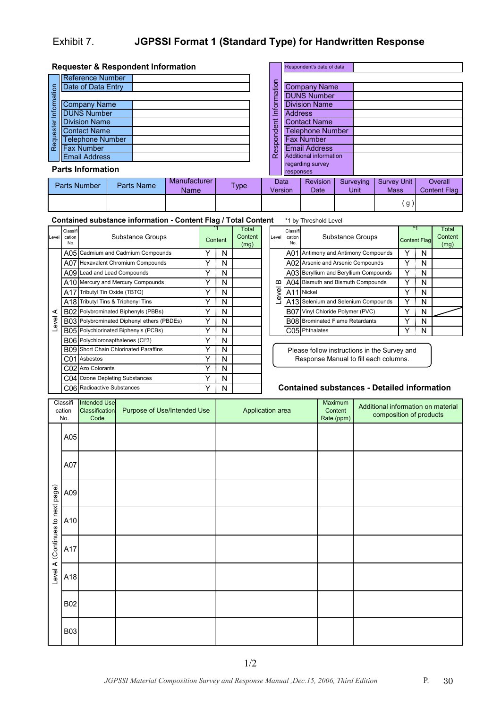## Exhibit 7. **JGPSSI Format 1 (Standard Type) for Handwritten Response**

|             | <b>Requester &amp; Respondent Information</b> |            |                             |             |                 |                | Respondent's date of data     |                   |                                   |                                |
|-------------|-----------------------------------------------|------------|-----------------------------|-------------|-----------------|----------------|-------------------------------|-------------------|-----------------------------------|--------------------------------|
|             | Reference Number                              |            |                             |             |                 |                |                               |                   |                                   |                                |
|             | Date of Data Entry                            |            |                             |             | formation       |                | <b>Company Name</b>           |                   |                                   |                                |
| Information |                                               |            |                             |             |                 |                | <b>DUNS Number</b>            |                   |                                   |                                |
|             | <b>Company Name</b>                           |            |                             |             |                 |                | <b>Division Name</b>          |                   |                                   |                                |
|             | <b>DUNS Number</b>                            |            |                             |             | ≘               | <b>Address</b> |                               |                   |                                   |                                |
|             | <b>Division Name</b>                          |            |                             |             | 는<br>Φ          |                | <b>Contact Name</b>           |                   |                                   |                                |
| Requester   | <b>Contact Name</b>                           |            |                             |             |                 |                | <b>Telephone Number</b>       |                   |                                   |                                |
|             | <b>Telephone Number</b>                       |            |                             |             | pond            |                | <b>Fax Number</b>             |                   |                                   |                                |
|             | <b>Fax Number</b>                             |            |                             |             | <u>ଟ</u>        |                | <b>Email Address</b>          |                   |                                   |                                |
|             | <b>Email Address</b>                          |            |                             |             | $\alpha$        |                | <b>Additional information</b> |                   |                                   |                                |
|             | <b>Parts Information</b>                      |            |                             |             |                 | responses      | regarding survey              |                   |                                   |                                |
|             | Parts Number                                  | Parts Name | Manufacturer<br><b>Name</b> | <b>Type</b> | Data<br>Version |                | <b>Revision</b><br>Date       | Surveying<br>Unit | <b>Survey Unit</b><br><b>Mass</b> | Overall<br><b>Content Flag</b> |
|             |                                               |            |                             |             |                 |                |                               |                   | g                                 |                                |

\*1 by Threshold Level **Contained substance information - Content Flag / Total Content**

| Level | Classifi<br>cation<br>No. | Substance Groups                             | *1<br>Content | Total<br>Content<br>(mg) | Level | Classifi<br>cation<br>No. | Substance Groups                              | *1<br>Content Fla |   |
|-------|---------------------------|----------------------------------------------|---------------|--------------------------|-------|---------------------------|-----------------------------------------------|-------------------|---|
|       |                           | A05 Cadmium and Cadmium Compounds            | N             |                          |       | A01                       | Antimony and Antimony Compounds               |                   | N |
|       |                           | A07 Hexavalent Chromium Compounds            | N             |                          |       |                           | A02 Arsenic and Arsenic Compounds             |                   | N |
|       |                           | A09 Lead and Lead Compounds                  | N             |                          |       |                           | A03 Beryllium and Beryllium Compounds         |                   | N |
|       |                           | A10 Mercury and Mercury Compounds            | N             |                          | ≃     |                           | A04 Bismuth and Bismuth Compounds             |                   | N |
|       |                           | A17 Tributyl Tin Oxide (TBTO)                | N             |                          | g     |                           | A11 Nickel                                    |                   | N |
|       |                           | A18 Tributyl Tins & Triphenyl Tins           | N             |                          | Œ)    |                           | A13 Selenium and Selenium Compounds           |                   | N |
| ⋖     |                           | B02 Polybrominated Biphenyls (PBBs)          | N             |                          |       |                           | B07 Vinyl Chloride Polymer (PVC)              |                   | N |
| evel  |                           | B03 Polybrominated Diphenyl ethers (PBDEs)   | N             |                          |       |                           | B08 Brominated Flame Retardants               |                   | N |
|       |                           | B05 Polychlorinated Biphenyls (PCBs)         | N             |                          |       |                           | C05 Phthalates                                |                   | N |
|       |                           | B06 Polychloronapthalenes (Cl33)             | N             |                          |       |                           |                                               |                   |   |
|       |                           | <b>B09</b> Short Chain Chlorinated Paraffins | N             |                          |       |                           | Please follow instructions in the Survey and  |                   |   |
|       |                           | C01 Asbestos                                 | N             |                          |       |                           | Response Manual to fill each columns.         |                   |   |
|       |                           | C02 Azo Colorants                            | N             |                          |       |                           |                                               |                   |   |
|       |                           | C04 Ozone Depleting Substances               | N             |                          |       |                           |                                               |                   |   |
|       |                           | C06 Radioactive Substances                   | N             |                          |       |                           | <b>Contained substances - Detailed inform</b> |                   |   |

|       |                           | . 5                                 |                     |   |                          |
|-------|---------------------------|-------------------------------------|---------------------|---|--------------------------|
| Level | Classifi<br>cation<br>No. | Substance Groups                    | <b>Content Flag</b> |   | Total<br>Content<br>(mg) |
|       | A01                       | Antimony and Antimony Compounds     |                     | N |                          |
|       | A02                       | Arsenic and Arsenic Compounds       |                     | N |                          |
|       | A03                       | Beryllium and Beryllium Compounds   |                     | N |                          |
| ≃     | A04                       | Bismuth and Bismuth Compounds       |                     | N |                          |
| Level | A11                       | <b>Nickel</b>                       |                     | N |                          |
|       |                           | A13 Selenium and Selenium Compounds |                     | N |                          |
|       | B07                       | Vinyl Chloride Polymer (PVC)        |                     | N |                          |
|       | <b>B08</b>                | <b>Brominated Flame Retardants</b>  |                     | N |                          |
|       | C05                       | Phthalates                          |                     | N |                          |

#### **Contained substances - Detailed information**

|                          | Classifi<br>cation<br>No. | <b>Intended Use</b><br>Classification<br>Code | Purpose of Use/Intended Use | Application area | Maximum<br>Content<br>Rate (ppm) | Additional information on material<br>composition of products |
|--------------------------|---------------------------|-----------------------------------------------|-----------------------------|------------------|----------------------------------|---------------------------------------------------------------|
|                          | A05                       |                                               |                             |                  |                                  |                                                               |
|                          | A07                       |                                               |                             |                  |                                  |                                                               |
|                          | A09                       |                                               |                             |                  |                                  |                                                               |
| (Continues to next page) | A10                       |                                               |                             |                  |                                  |                                                               |
|                          | A17                       |                                               |                             |                  |                                  |                                                               |
| Level A                  | A18                       |                                               |                             |                  |                                  |                                                               |
|                          | <b>B02</b>                |                                               |                             |                  |                                  |                                                               |
|                          | <b>B03</b>                |                                               |                             |                  |                                  |                                                               |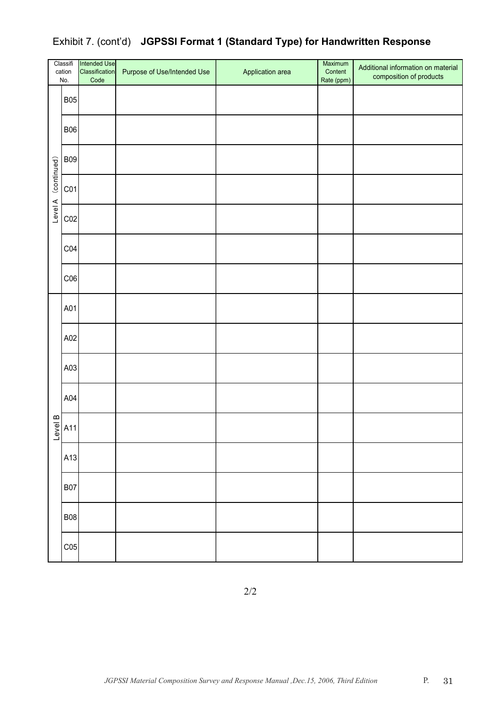|             | Classifi<br>cation<br>No. | Intended Use<br>Classification<br>Code | Purpose of Use/Intended Use | Application area | Maximum<br>Content<br>Rate (ppm) | Additional information on material<br>composition of products |
|-------------|---------------------------|----------------------------------------|-----------------------------|------------------|----------------------------------|---------------------------------------------------------------|
|             | <b>B05</b>                |                                        |                             |                  |                                  |                                                               |
|             | <b>B06</b>                |                                        |                             |                  |                                  |                                                               |
|             | <b>B09</b>                |                                        |                             |                  |                                  |                                                               |
| (continued) | CO1                       |                                        |                             |                  |                                  |                                                               |
| Level A     | CO <sub>2</sub>           |                                        |                             |                  |                                  |                                                               |
|             | CO4                       |                                        |                             |                  |                                  |                                                               |
|             | CO6                       |                                        |                             |                  |                                  |                                                               |
|             | A01                       |                                        |                             |                  |                                  |                                                               |
|             | A02                       |                                        |                             |                  |                                  |                                                               |
|             | A03                       |                                        |                             |                  |                                  |                                                               |
|             | A04                       |                                        |                             |                  |                                  |                                                               |
| Level B     | A11                       |                                        |                             |                  |                                  |                                                               |
|             | A13                       |                                        |                             |                  |                                  |                                                               |
|             | <b>B07</b>                |                                        |                             |                  |                                  |                                                               |
|             | <b>B08</b>                |                                        |                             |                  |                                  |                                                               |
|             | CO <sub>5</sub>           |                                        |                             |                  |                                  |                                                               |

## Exhibit 7. (cont'd) **JGPSSI Format 1 (Standard Type) for Handwritten Response**

2/2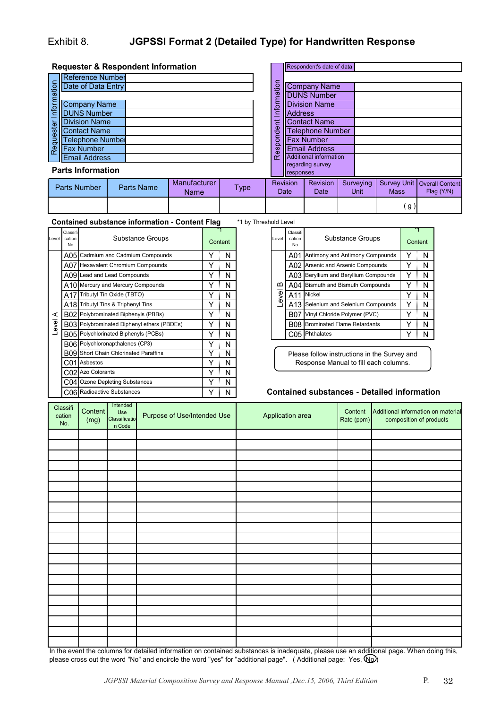## Exhibit 8. **JGPSSI Format 2 (Detailed Type) for Handwritten Response**

|                       | Requester & Respondent Information |  |  |  |  |  |  |
|-----------------------|------------------------------------|--|--|--|--|--|--|
|                       | <b>Reference Number</b>            |  |  |  |  |  |  |
| Requester Information | Date of Data Entry                 |  |  |  |  |  |  |
|                       |                                    |  |  |  |  |  |  |
|                       | <b>Company Name</b>                |  |  |  |  |  |  |
|                       | <b>DUNS Number</b>                 |  |  |  |  |  |  |
|                       | <b>Division Name</b>               |  |  |  |  |  |  |
|                       | <b>Contact Name</b>                |  |  |  |  |  |  |
|                       | <b>Telephone Number</b>            |  |  |  |  |  |  |
|                       | <b>Fax Number</b>                  |  |  |  |  |  |  |
|                       | <b>Email Address</b>               |  |  |  |  |  |  |
|                       |                                    |  |  |  |  |  |  |

|                        |                  | Respondent's date of data     |  |           |             |                        |
|------------------------|------------------|-------------------------------|--|-----------|-------------|------------------------|
| Respondent Information |                  |                               |  |           |             |                        |
|                        |                  | <b>Company Name</b>           |  |           |             |                        |
|                        |                  | <b>DUNS Number</b>            |  |           |             |                        |
|                        |                  | <b>Division Name</b>          |  |           |             |                        |
|                        | <b>Address</b>   |                               |  |           |             |                        |
|                        |                  | <b>Contact Name</b>           |  |           |             |                        |
|                        |                  | <b>Telephone Number</b>       |  |           |             |                        |
|                        |                  | <b>Fax Number</b>             |  |           |             |                        |
|                        |                  | <b>Email Address</b>          |  |           |             |                        |
|                        |                  | <b>Additional information</b> |  |           |             |                        |
|                        | regarding survey |                               |  |           |             |                        |
|                        | responses        |                               |  |           |             |                        |
|                        | <b>Revision</b>  | Revision                      |  | Surveying | Survey Unit | <b>Overall Content</b> |
| Date                   |                  | Date                          |  | Unit      | <b>Mass</b> | Flag (Y/N)             |
|                        |                  |                               |  |           |             |                        |

 **Requester & Respondent Information**

| Informat  |                          |  | ত্ত<br>ξ   | <b>IDUNS Number</b><br><b>Division Name</b> |  |  |  |
|-----------|--------------------------|--|------------|---------------------------------------------|--|--|--|
|           | <b>Company Name</b>      |  |            |                                             |  |  |  |
|           | <b>DUNS Number</b>       |  | Infon      | <b>Address</b>                              |  |  |  |
| Requester | <b>Division Name</b>     |  | dent       | <b>Contact Name</b>                         |  |  |  |
|           | <b>Contact Name</b>      |  |            | <b>Telephone Nu</b>                         |  |  |  |
|           | elephone Number          |  | noq        | <b>Fax Number</b>                           |  |  |  |
|           | <b>Fax Number</b>        |  | <b>Res</b> | <b>Email Address</b>                        |  |  |  |
|           | <b>Email Address</b>     |  |            | <b>Additional informa</b>                   |  |  |  |
|           | <b>Parts Information</b> |  |            | regarding survey                            |  |  |  |
|           |                          |  |            | <b>Tresponses</b>                           |  |  |  |

|              |            |                      |      | -----------             |                         |                   |             |                                             |
|--------------|------------|----------------------|------|-------------------------|-------------------------|-------------------|-------------|---------------------------------------------|
| Parts Number | Parts Name | Manufacturer<br>Name | Type | Revision<br><b>Date</b> | Revision<br><b>Date</b> | Surveving<br>Unit | <b>Mass</b> | Survey Unit   Overall Content<br>Flag (Y/N) |
|              |            |                      |      |                         |                         |                   | g)          |                                             |

**Contained substance information - Content Flag** \*1 by Threshold Level

| Level | Classifi<br>cation<br>No. | Substance Groups                              | Level<br>Content |   |                                                 | Classif<br>cation<br>No.                     | Substance Groups | Content                               |  |   |  |  |
|-------|---------------------------|-----------------------------------------------|------------------|---|-------------------------------------------------|----------------------------------------------|------------------|---------------------------------------|--|---|--|--|
|       |                           | A05 Cadmium and Cadmium Compounds             |                  | N |                                                 |                                              | A01              | Antimony and Antimony Compounds       |  | N |  |  |
|       |                           | A07 Hexavalent Chromium Compounds             |                  | N |                                                 |                                              |                  | A02 Arsenic and Arsenic Compounds     |  | N |  |  |
|       |                           | A09 Lead and Lead Compounds                   |                  | N |                                                 |                                              |                  | A03 Beryllium and Beryllium Compounds |  | N |  |  |
|       |                           | A10 Mercury and Mercury Compounds             |                  | N |                                                 | മ<br>Φ<br>⋝<br>Φ                             |                  | A04 Bismuth and Bismuth Compounds     |  | N |  |  |
|       |                           | A17 Tributyl Tin Oxide (TBTO)                 |                  | N |                                                 |                                              | A11              | Nickel                                |  | N |  |  |
|       |                           | A18 Tributyl Tins & Triphenyl Tins            |                  | N |                                                 |                                              | A13              | Selenium and Selenium Compounds       |  | N |  |  |
| ⋖     |                           | B02 Polybrominated Biphenyls (PBBs)           |                  | N |                                                 |                                              | <b>B07</b>       | Vinyl Chloride Polymer (PVC)          |  | N |  |  |
| Level |                           | B03 Polybrominated Diphenyl ethers (PBDEs)    |                  | N |                                                 |                                              |                  | B08 Brominated Flame Retardants       |  | N |  |  |
|       |                           | B05 Polychlorinated Biphenyls (PCBs)          |                  | N |                                                 |                                              |                  | $C05$ Phthalates                      |  | N |  |  |
|       |                           | B06 Polychloronapthalenes (Cl <sup>3</sup> 3) |                  | N |                                                 |                                              |                  |                                       |  |   |  |  |
|       |                           | <b>B09</b> Short Chain Chlorinated Paraffins  |                  | N |                                                 | Please follow instructions in the Survey and |                  |                                       |  |   |  |  |
|       |                           | C01 Asbestos                                  |                  | N | Response Manual to fill each columns.           |                                              |                  |                                       |  |   |  |  |
|       |                           | C02 Azo Colorants                             |                  | N |                                                 |                                              |                  |                                       |  |   |  |  |
|       |                           | C04 Ozone Depleting Substances                |                  | N |                                                 |                                              |                  |                                       |  |   |  |  |
|       |                           | C06 Radioactive Substances                    |                  | N | <b>Contained substances - Detailed informat</b> |                                              |                  |                                       |  |   |  |  |

|         | olu Level                 |                                    |         |   |  |  |  |  |
|---------|---------------------------|------------------------------------|---------|---|--|--|--|--|
| Level   | Classifi<br>cation<br>No. | Substance Groups                   | Content |   |  |  |  |  |
|         | A01                       | Antimony and Antimony Compounds    |         | N |  |  |  |  |
|         | A02                       | Arsenic and Arsenic Compounds      |         | N |  |  |  |  |
|         | A03                       | Beryllium and Beryllium Compounds  |         | N |  |  |  |  |
|         | A04                       | Bismuth and Bismuth Compounds      |         | N |  |  |  |  |
| Level B | A11                       | Nickel                             | Y       | N |  |  |  |  |
|         | A13                       | Selenium and Selenium Compounds    |         | N |  |  |  |  |
|         | B07                       | Vinyl Chloride Polymer (PVC)       |         | N |  |  |  |  |
|         | <b>B08</b>                | <b>Brominated Flame Retardants</b> | v       | N |  |  |  |  |
|         | Phthalates<br>C05         |                                    |         |   |  |  |  |  |

## **Contained substances - Detailed information**

| Classifi<br>cation<br>No. | Content<br>(mg) | Intended<br>Use<br>Classificatio<br>n Code | Purpose of Use/Intended Use | Application area | Content<br>Rate (ppm) | Additional information on material<br>composition of products |
|---------------------------|-----------------|--------------------------------------------|-----------------------------|------------------|-----------------------|---------------------------------------------------------------|
|                           |                 |                                            |                             |                  |                       |                                                               |
|                           |                 |                                            |                             |                  |                       |                                                               |
|                           |                 |                                            |                             |                  |                       |                                                               |
|                           |                 |                                            |                             |                  |                       |                                                               |
|                           |                 |                                            |                             |                  |                       |                                                               |
|                           |                 |                                            |                             |                  |                       |                                                               |
|                           |                 |                                            |                             |                  |                       |                                                               |
|                           |                 |                                            |                             |                  |                       |                                                               |
|                           |                 |                                            |                             |                  |                       |                                                               |
|                           |                 |                                            |                             |                  |                       |                                                               |
|                           |                 |                                            |                             |                  |                       |                                                               |
|                           |                 |                                            |                             |                  |                       |                                                               |
|                           |                 |                                            |                             |                  |                       |                                                               |
|                           |                 |                                            |                             |                  |                       |                                                               |
|                           |                 |                                            |                             |                  |                       |                                                               |
|                           |                 |                                            |                             |                  |                       |                                                               |
|                           |                 |                                            |                             |                  |                       |                                                               |
|                           |                 |                                            |                             |                  |                       |                                                               |
|                           |                 |                                            |                             |                  |                       |                                                               |
|                           |                 |                                            |                             |                  |                       |                                                               |
|                           |                 |                                            |                             |                  |                       |                                                               |

In the event the columns for detailed information on contained substances is inadequate, please use an additional page. When doing this, please cross out the word "No" and encircle the word "yes" for "additional page". (Additional page: Yes,  $\circled{w}$ )